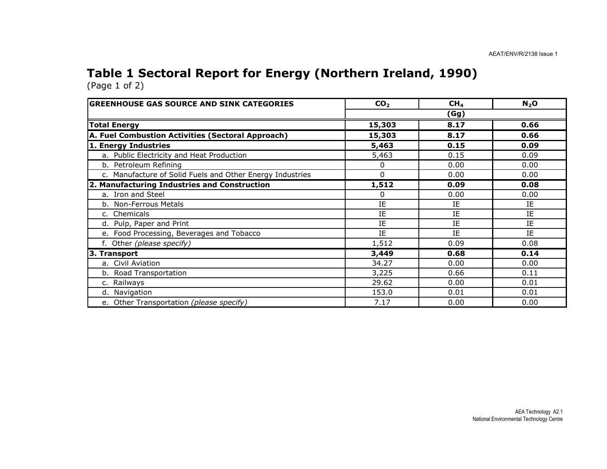#### Table 1 Sectoral Report for Energy (Northern Ireland, 1990) (Page 1 of 2)

| <b>GREENHOUSE GAS SOURCE AND SINK CATEGORIES</b>          | CO <sub>2</sub> | CH <sub>4</sub> | $N_2$ O |  |  |  |
|-----------------------------------------------------------|-----------------|-----------------|---------|--|--|--|
|                                                           | (Gg)            |                 |         |  |  |  |
| <b>Total Energy</b>                                       | 15,303          | 8.17            | 0.66    |  |  |  |
| A. Fuel Combustion Activities (Sectoral Approach)         | 15,303          | 8.17            | 0.66    |  |  |  |
| 1. Energy Industries                                      | 5,463           | 0.15            | 0.09    |  |  |  |
| a. Public Electricity and Heat Production                 | 5,463           | 0.15            | 0.09    |  |  |  |
| b. Petroleum Refining                                     | 0               | 0.00            | 0.00    |  |  |  |
| c. Manufacture of Solid Fuels and Other Energy Industries | $\Omega$        | 0.00            | 0.00    |  |  |  |
| 2. Manufacturing Industries and Construction              | 1,512           | 0.09            | 0.08    |  |  |  |
| a. Iron and Steel                                         | 0               | 0.00            | 0.00    |  |  |  |
| b. Non-Ferrous Metals                                     | IE              | IE              | IE      |  |  |  |
| c. Chemicals                                              | IE              | IE              | IE      |  |  |  |
| d. Pulp, Paper and Print                                  | IE              | IE              | IE      |  |  |  |
| e. Food Processing, Beverages and Tobacco                 | IE              | IE              | IE.     |  |  |  |
| f. Other (please specify)                                 | 1,512           | 0.09            | 0.08    |  |  |  |
| 3. Transport                                              | 3,449           | 0.68            | 0.14    |  |  |  |
| a. Civil Aviation                                         | 34.27           | 0.00            | 0.00    |  |  |  |
| b. Road Transportation                                    | 3,225           | 0.66            | 0.11    |  |  |  |
| c. Railways                                               | 29.62           | 0.00            | 0.01    |  |  |  |
| d. Navigation                                             | 153.0           | 0.01            | 0.01    |  |  |  |
| e. Other Transportation (please specify)                  | 7.17            | 0.00            | 0.00    |  |  |  |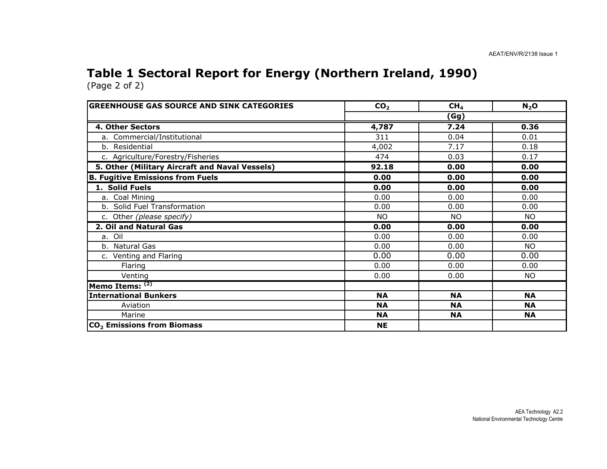#### Table 1 Sectoral Report for Energy (Northern Ireland, 1990) (Page 2 of 2)

| <b>GREENHOUSE GAS SOURCE AND SINK CATEGORIES</b> | CO <sub>2</sub> | CH <sub>4</sub> | $N_2$ O   |  |  |  |
|--------------------------------------------------|-----------------|-----------------|-----------|--|--|--|
|                                                  | (Gg)            |                 |           |  |  |  |
| 4. Other Sectors                                 | 4,787           | 7.24            | 0.36      |  |  |  |
| a. Commercial/Institutional                      | 311             | 0.04            | 0.01      |  |  |  |
| b. Residential                                   | 4,002           | 7.17            | 0.18      |  |  |  |
| c. Agriculture/Forestry/Fisheries                | 474             | 0.03            | 0.17      |  |  |  |
| 5. Other (Military Aircraft and Naval Vessels)   | 92.18           | 0.00            | 0.00      |  |  |  |
| <b>B. Fugitive Emissions from Fuels</b>          | 0.00            | 0.00            | 0.00      |  |  |  |
| 1. Solid Fuels                                   | 0.00            | 0.00            | 0.00      |  |  |  |
| a. Coal Mining                                   | 0.00            | 0.00            | 0.00      |  |  |  |
| b. Solid Fuel Transformation                     | 0.00            | 0.00            | 0.00      |  |  |  |
| c. Other (please specify)                        | <b>NO</b>       | <b>NO</b>       | <b>NO</b> |  |  |  |
| 2. Oil and Natural Gas                           | 0.00            | 0.00            | 0.00      |  |  |  |
| a. Oil                                           | 0.00            | 0.00            | 0.00      |  |  |  |
| b. Natural Gas                                   | 0.00            | 0.00            | NO.       |  |  |  |
| c. Venting and Flaring                           | 0.00            | 0.00            | 0.00      |  |  |  |
| Flaring                                          | 0.00            | 0.00            | 0.00      |  |  |  |
| Venting                                          | 0.00            | 0.00            | <b>NO</b> |  |  |  |
| Memo Items: (2)                                  |                 |                 |           |  |  |  |
| <b>International Bunkers</b>                     | <b>NA</b>       | <b>NA</b>       | <b>NA</b> |  |  |  |
| Aviation                                         | <b>NA</b>       | <b>NA</b>       | <b>NA</b> |  |  |  |
| Marine                                           | <b>NA</b>       | <b>NA</b>       | <b>NA</b> |  |  |  |
| CO <sub>2</sub> Emissions from Biomass           | <b>NE</b>       |                 |           |  |  |  |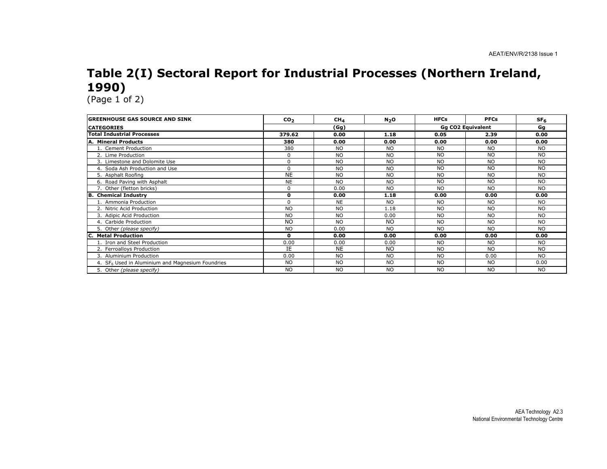# Table 2(I) Sectoral Report for Industrial Processes (Northern Ireland, 1990)

| <b>GREENHOUSE GAS SOURCE AND SINK</b>                        | CO <sub>2</sub> | CH <sub>4</sub> | N <sub>2</sub> O | <b>HFCs</b> | <b>PFCs</b>       | SF <sub>6</sub> |
|--------------------------------------------------------------|-----------------|-----------------|------------------|-------------|-------------------|-----------------|
| <b>CATEGORIES</b>                                            |                 | (Gg)            |                  |             | Gq CO2 Equivalent | Gq              |
| <b>Total Industrial Processes</b>                            | 379.62          | 0.00            | 1.18             | 0.05        | 2.39              | 0.00            |
| A. Mineral Products                                          | 380             | 0.00            | 0.00             | 0.00        | 0.00              | 0.00            |
| 1. Cement Production                                         | 380             | N <sub>O</sub>  | <b>NO</b>        | NO.         | NO.               | NO.             |
| 2. Lime Production                                           | $\Omega$        | <b>NO</b>       | N <sub>O</sub>   | <b>NO</b>   | <b>NO</b>         | <b>NO</b>       |
| 3. Limestone and Dolomite Use                                | $\mathbf 0$     | <b>NO</b>       | <b>NO</b>        | <b>NO</b>   | <b>NO</b>         | <b>NO</b>       |
| 4. Soda Ash Production and Use                               | $\Omega$        | N <sub>O</sub>  | <b>NO</b>        | <b>NO</b>   | <b>NO</b>         | <b>NO</b>       |
| 5. Asphalt Roofing                                           | <b>NE</b>       | N <sub>O</sub>  | <b>NO</b>        | <b>NO</b>   | <b>NO</b>         | <b>NO</b>       |
| 6. Road Paving with Asphalt                                  | <b>NE</b>       | N <sub>O</sub>  | N <sub>O</sub>   | <b>NO</b>   | <b>NO</b>         | <b>NO</b>       |
| 7. Other (fletton bricks)                                    | $\Omega$        | 0.00            | <b>NO</b>        | <b>NO</b>   | <b>NO</b>         | <b>NO</b>       |
| <b>B. Chemical Industry</b>                                  | $\mathbf{0}$    | 0.00            | 1.18             | 0.00        | 0.00              | 0.00            |
| 1. Ammonia Production                                        | $\Omega$        | <b>NE</b>       | <b>NO</b>        | <b>NO</b>   | <b>NO</b>         | <b>NO</b>       |
| 2. Nitric Acid Production                                    | <b>NO</b>       | <b>NO</b>       | 1.18             | <b>NO</b>   | <b>NO</b>         | NO.             |
| 3. Adipic Acid Production                                    | <b>NO</b>       | <b>NO</b>       | 0.00             | NO.         | <b>NO</b>         | NO.             |
| 4. Carbide Production                                        | N <sub>O</sub>  | NO.             | NO.              | NO.         | NO.               | NO.             |
| 5. Other (please specify)                                    | <b>NO</b>       | 0.00            | <b>NO</b>        | <b>NO</b>   | <b>NO</b>         | <b>NO</b>       |
| <b>Metal Production</b>                                      | $\mathbf{0}$    | 0.00            | 0.00             | 0.00        | 0.00              | 0.00            |
| 1. Iron and Steel Production                                 | 0.00            | 0.00            | 0.00             | <b>NO</b>   | <b>NO</b>         | <b>NO</b>       |
| 2. Ferroalloys Production                                    | IE              | <b>NE</b>       | <b>NO</b>        | <b>NO</b>   | <b>NO</b>         | <b>NO</b>       |
| 3. Aluminium Production                                      | 0.00            | <b>NO</b>       | <b>NO</b>        | <b>NO</b>   | 0.00              | <b>NO</b>       |
| 4. SF <sub>6</sub> Used in Aluminium and Magnesium Foundries | <b>NO</b>       | <b>NO</b>       | <b>NO</b>        | <b>NO</b>   | <b>NO</b>         | 0.00            |
| 5. Other (please specify)                                    | <b>NO</b>       | <b>NO</b>       | <b>NO</b>        | <b>NO</b>   | <b>NO</b>         | <b>NO</b>       |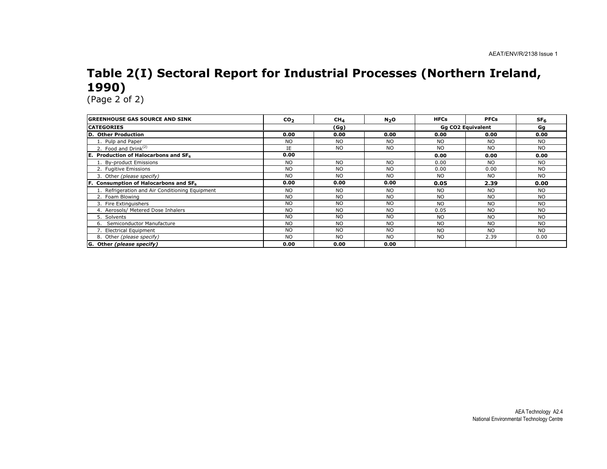## Table 2(I) Sectoral Report for Industrial Processes (Northern Ireland, 1990)

| <b>GREENHOUSE GAS SOURCE AND SINK</b>            | CO <sub>2</sub> | CH <sub>4</sub> | N <sub>2</sub> O | <b>HFCs</b> | <b>PFCs</b>       | SF <sub>6</sub> |  |
|--------------------------------------------------|-----------------|-----------------|------------------|-------------|-------------------|-----------------|--|
| <b>CATEGORIES</b>                                |                 | (Gg)            |                  |             | Gq CO2 Equivalent | Gg              |  |
| D. Other Production                              | 0.00            | 0.00            | 0.00             | 0.00        | 0.00              | 0.00            |  |
| 1. Pulp and Paper                                | <b>NO</b>       | <b>NO</b>       | <b>NO</b>        | <b>NO</b>   | <b>NO</b>         | <b>NO</b>       |  |
| 2. Food and Drink <sup>(2)</sup>                 | IE              | <b>NO</b>       | <b>NO</b>        | <b>NO</b>   | <b>NO</b>         | <b>NO</b>       |  |
| E. Production of Halocarbons and SF <sub>6</sub> | 0.00            |                 |                  | 0.00        | 0.00              | 0.00            |  |
| 1. By-product Emissions                          | <b>NO</b>       | <b>NO</b>       | <b>NO</b>        | 0.00        | <b>NO</b>         | <b>NO</b>       |  |
| 2. Fugitive Emissions                            | <b>NO</b>       | <b>NO</b>       | <b>NO</b>        | 0.00        | 0.00              | <b>NO</b>       |  |
| 3. Other (please specify)                        | <b>NO</b>       | <b>NO</b>       | <b>NO</b>        | <b>NO</b>   | <b>NO</b>         | <b>NO</b>       |  |
| F. Consumption of Halocarbons and $SF6$          | 0.00            | 0.00            | 0.00             | 0.05        | 2.39              | 0.00            |  |
| 1. Refrigeration and Air Conditioning Equipment  | <b>NO</b>       | <b>NO</b>       | <b>NO</b>        | <b>NO</b>   | <b>NO</b>         | <b>NO</b>       |  |
| 2. Foam Blowing                                  | <b>NO</b>       | N <sub>O</sub>  | <b>NO</b>        | <b>NO</b>   | <b>NO</b>         | <b>NO</b>       |  |
| 3. Fire Extinguishers                            | <b>NO</b>       | N <sub>O</sub>  | <b>NO</b>        | <b>NO</b>   | <b>NO</b>         | <b>NO</b>       |  |
| 4. Aerosols/ Metered Dose Inhalers               | <b>NO</b>       | N <sub>O</sub>  | <b>NO</b>        | 0.05        | <b>NO</b>         | <b>NO</b>       |  |
| 5. Solvents                                      | <b>NO</b>       | N <sub>O</sub>  | <b>NO</b>        | <b>NO</b>   | <b>NO</b>         | <b>NO</b>       |  |
| Semiconductor Manufacture<br>6.                  | <b>NO</b>       | <b>NO</b>       | <b>NO</b>        | <b>NO</b>   | <b>NO</b>         | <b>NO</b>       |  |
| 7. Electrical Equipment                          | <b>NO</b>       | <b>NO</b>       | <b>NO</b>        | <b>NO</b>   | <b>NO</b>         | <b>NO</b>       |  |
| 8. Other (please specify)                        | <b>NO</b>       | <b>NO</b>       | <b>NO</b>        | <b>NO</b>   | 2.39              | 0.00            |  |
| G. Other (please specify)                        | 0.00            | 0.00            | 0.00             |             |                   |                 |  |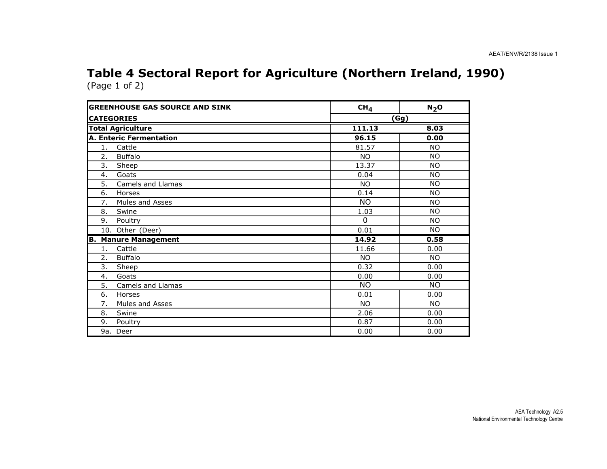#### Table 4 Sectoral Report for Agriculture (Northern Ireland, 1990) (Page 1 of 2)

| <b>GREENHOUSE GAS SOURCE AND SINK</b> | CH <sub>4</sub> | $N_2$ O   |
|---------------------------------------|-----------------|-----------|
| <b>CATEGORIES</b>                     |                 | (Gg)      |
| <b>Total Agriculture</b>              | 111.13          | 8.03      |
| <b>A. Enteric Fermentation</b>        | 96.15           | 0.00      |
| 1.<br>Cattle                          | 81.57           | <b>NO</b> |
| 2.<br><b>Buffalo</b>                  | NO.             | <b>NO</b> |
| 3.<br>Sheep                           | 13.37           | <b>NO</b> |
| 4.<br>Goats                           | 0.04            | <b>NO</b> |
| 5.<br>Camels and Llamas               | N <sub>O</sub>  | <b>NO</b> |
| 6.<br>Horses                          | 0.14            | <b>NO</b> |
| 7.<br>Mules and Asses                 | <b>NO</b>       | <b>NO</b> |
| 8.<br>Swine                           | 1.03            | <b>NO</b> |
| 9.<br>Poultry                         | $\mathbf 0$     | <b>NO</b> |
| 10. Other (Deer)                      | 0.01            | <b>NO</b> |
| <b>Manure Management</b><br>В.        | 14.92           | 0.58      |
| Cattle<br>1.                          | 11.66           | 0.00      |
| 2.<br><b>Buffalo</b>                  | <b>NO</b>       | <b>NO</b> |
| 3.<br>Sheep                           | 0.32            | 0.00      |
| Goats<br>4.                           | 0.00            | 0.00      |
| 5.<br><b>Camels and Llamas</b>        | <b>NO</b>       | <b>NO</b> |
| 6.<br>Horses                          | 0.01            | 0.00      |
| Mules and Asses<br>7.                 | NO.             | <b>NO</b> |
| Swine<br>8.                           | 2.06            | 0.00      |
| 9.<br>Poultry                         | 0.87            | 0.00      |
| 9a. Deer                              | 0.00            | 0.00      |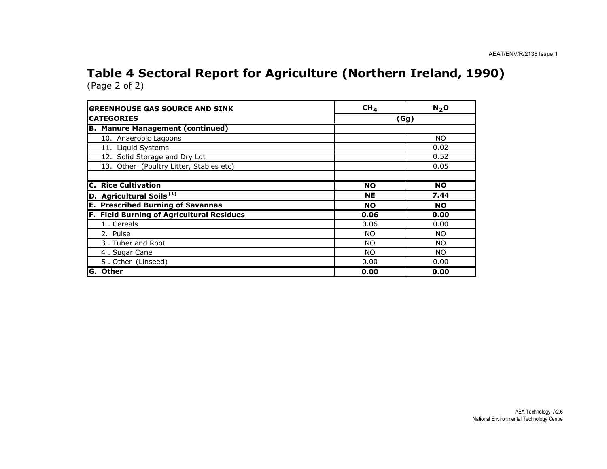#### Table 4 Sectoral Report for Agriculture (Northern Ireland, 1990) (Page 2 of 2)

| <b>GREENHOUSE GAS SOURCE AND SINK</b>     | CH <sub>4</sub> | N <sub>2</sub> O |  |  |
|-------------------------------------------|-----------------|------------------|--|--|
| <b>CATEGORIES</b>                         | (Gg)            |                  |  |  |
| <b>B. Manure Management (continued)</b>   |                 |                  |  |  |
| 10. Anaerobic Lagoons                     |                 | NO.              |  |  |
| 11. Liquid Systems                        |                 | 0.02             |  |  |
| 12. Solid Storage and Dry Lot             |                 | 0.52             |  |  |
| 13. Other (Poultry Litter, Stables etc)   |                 | 0.05             |  |  |
|                                           |                 |                  |  |  |
| <b>C. Rice Cultivation</b>                | <b>NO</b>       | <b>NO</b>        |  |  |
| D. Agricultural Soils <sup>(1)</sup>      | <b>NE</b>       | 7.44             |  |  |
| <b>E. Prescribed Burning of Savannas</b>  | <b>NO</b>       | <b>NO</b>        |  |  |
| F. Field Burning of Agricultural Residues | 0.06            | 0.00             |  |  |
| 1. Cereals                                | 0.06            | 0.00             |  |  |
| 2. Pulse                                  | <b>NO</b>       | NO.              |  |  |
| 3. Tuber and Root                         | NO.             | <b>NO</b>        |  |  |
| 4. Sugar Cane                             | NO.             | NO.              |  |  |
| 5. Other (Linseed)                        | 0.00            | 0.00             |  |  |
| <b>Other</b><br>G.                        | 0.00            | 0.00             |  |  |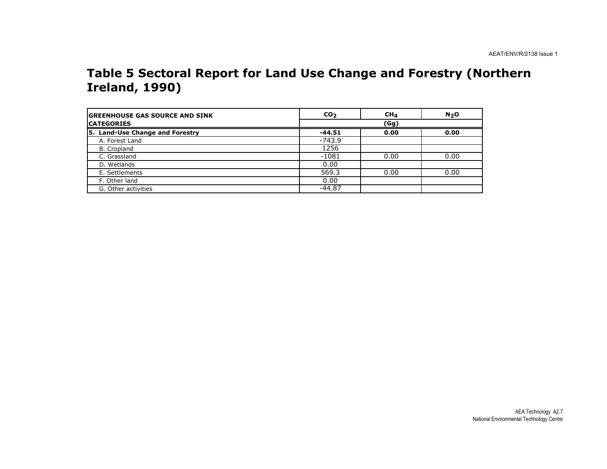#### Table 5 Sectoral Report for Land Use Change and Forestry (Northern Ireland, 1990)

| <b>IGREENHOUSE GAS SOURCE AND SINK</b> | CO <sub>2</sub> | CH <sub>4</sub> | N <sub>2</sub> O |
|----------------------------------------|-----------------|-----------------|------------------|
| <b>ICATEGORIES</b>                     |                 | (Gg)            |                  |
| 5. Land-Use Change and Forestry        | $-44.51$        | 0.00            | 0.00             |
| A. Forest Land                         | $-743.9$        |                 |                  |
| B. Cropland                            | 1256            |                 |                  |
| C. Grassland                           | $-1081$         | 0.00            | 0.00             |
| D. Wetlands                            | 0.00            |                 |                  |
| E. Settlements                         | 569.3           | 0.00            | 0.00             |
| F. Other land                          | 0.00            |                 |                  |
| G. Other activities                    | $-44.87$        |                 |                  |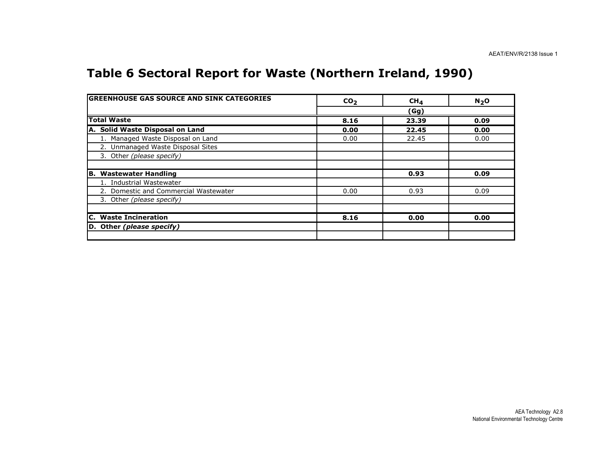## Table 6 Sectoral Report for Waste (Northern Ireland, 1990)

| <b>GREENHOUSE GAS SOURCE AND SINK CATEGORIES</b> | CO <sub>2</sub> | CH <sub>4</sub> | N <sub>2</sub> O |
|--------------------------------------------------|-----------------|-----------------|------------------|
|                                                  |                 | (Gg)            |                  |
| <b>Total Waste</b>                               | 8.16            | 23.39           | 0.09             |
| A. Solid Waste Disposal on Land                  | 0.00            | 22.45           | 0.00             |
| 1. Managed Waste Disposal on Land                | 0.00            | 22.45           | 0.00             |
| 2. Unmanaged Waste Disposal Sites                |                 |                 |                  |
| 3. Other (please specify)                        |                 |                 |                  |
|                                                  |                 |                 |                  |
| <b>B. Wastewater Handling</b>                    |                 | 0.93            | 0.09             |
| 1. Industrial Wastewater                         |                 |                 |                  |
| 2. Domestic and Commercial Wastewater            | 0.00            | 0.93            | 0.09             |
| 3. Other (please specify)                        |                 |                 |                  |
|                                                  |                 |                 |                  |
| <b>C.</b> Waste Incineration                     | 8.16            | 0.00            | 0.00             |
| D. Other (please specify)                        |                 |                 |                  |
|                                                  |                 |                 |                  |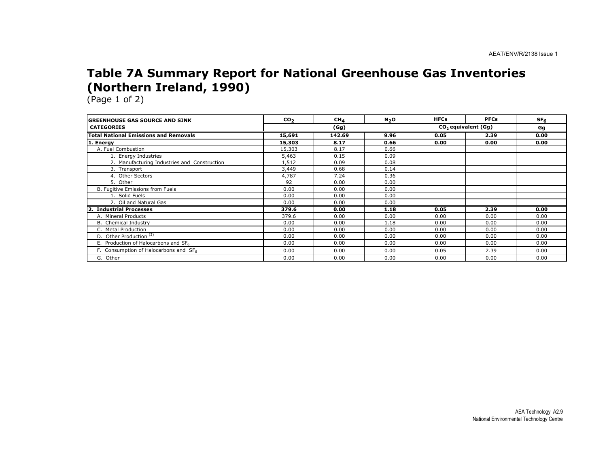### Table 7A Summary Report for National Greenhouse Gas Inventories (Northern Ireland, 1990)

| IGREENHOUSE GAS SOURCE AND SINK              | CO <sub>2</sub> | CH <sub>4</sub> | N <sub>2</sub> O | <b>HFCs</b> | <b>PFCs</b>           | SF <sub>6</sub> |
|----------------------------------------------|-----------------|-----------------|------------------|-------------|-----------------------|-----------------|
| <b>CATEGORIES</b>                            |                 | (Gg)            |                  |             | $CO2$ equivalent (Gg) | Gg              |
| <b>Total National Emissions and Removals</b> | 15,691          | 142.69          | 9.96             | 0.05        | 2.39                  | 0.00            |
| 1. Energy                                    | 15,303          | 8.17            | 0.66             | 0.00        | 0.00                  | 0.00            |
| A. Fuel Combustion                           | 15,303          | 8.17            | 0.66             |             |                       |                 |
| 1. Energy Industries                         | 5,463           | 0.15            | 0.09             |             |                       |                 |
| 2. Manufacturing Industries and Construction | 1,512           | 0.09            | 0.08             |             |                       |                 |
| 3. Transport                                 | 3,449           | 0.68            | 0.14             |             |                       |                 |
| 4. Other Sectors                             | 4,787           | 7.24            | 0.36             |             |                       |                 |
| 5. Other                                     | 92              | 0.00            | 0.00             |             |                       |                 |
| B. Fugitive Emissions from Fuels             | 0.00            | 0.00            | 0.00             |             |                       |                 |
| 1. Solid Fuels                               | 0.00            | 0.00            | 0.00             |             |                       |                 |
| 2. Oil and Natural Gas                       | 0.00            | 0.00            | 0.00             |             |                       |                 |
| <b>Industrial Processes</b>                  | 379.6           | 0.00            | 1.18             | 0.05        | 2.39                  | 0.00            |
| A. Mineral Products                          | 379.6           | 0.00            | 0.00             | 0.00        | 0.00                  | 0.00            |
| <b>B.</b> Chemical Industry                  | 0.00            | 0.00            | 1.18             | 0.00        | 0.00                  | 0.00            |
| C. Metal Production                          | 0.00            | 0.00            | 0.00             | 0.00        | 0.00                  | 0.00            |
| D. Other Production <sup>(3)</sup>           | 0.00            | 0.00            | 0.00             | 0.00        | 0.00                  | 0.00            |
| E. Production of Halocarbons and SF6         | 0.00            | 0.00            | 0.00             | 0.00        | 0.00                  | 0.00            |
| F. Consumption of Halocarbons and SF6        | 0.00            | 0.00            | 0.00             | 0.05        | 2.39                  | 0.00            |
| G. Other                                     | 0.00            | 0.00            | 0.00             | 0.00        | 0.00                  | 0.00            |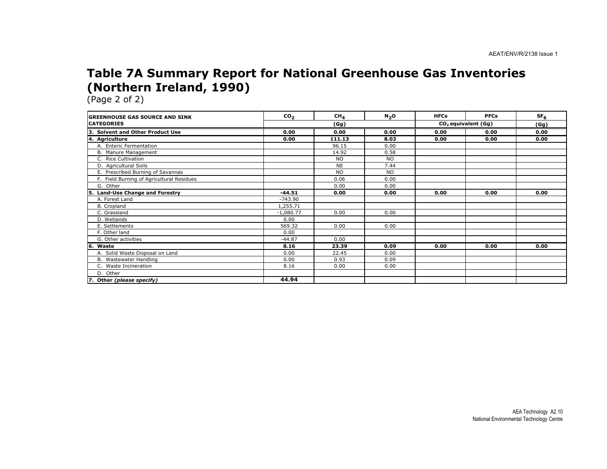### Table 7A Summary Report for National Greenhouse Gas Inventories (Northern Ireland, 1990)

| <b>GREENHOUSE GAS SOURCE AND SINK</b>     | CO <sub>2</sub> | CH <sub>4</sub> | N <sub>2</sub> O | <b>HFCs</b> | <b>PFCs</b>           | SF <sub>6</sub> |
|-------------------------------------------|-----------------|-----------------|------------------|-------------|-----------------------|-----------------|
| <b>CATEGORIES</b>                         |                 | (Gg)            |                  |             | $CO2$ equivalent (Gg) | (Gg)            |
| 3. Solvent and Other Product Use          | 0.00            | 0.00            | 0.00             | 0.00        | 0.00                  | 0.00            |
| 4. Agriculture                            | 0.00            | 111.13          | 8.03             | 0.00        | 0.00                  | 0.00            |
| A. Enteric Fermentation                   |                 | 96.15           | 0.00             |             |                       |                 |
| B. Manure Management                      |                 | 14.92           | 0.58             |             |                       |                 |
| C. Rice Cultivation                       |                 | <b>NO</b>       | <b>NO</b>        |             |                       |                 |
| D. Agricultural Soils                     |                 | <b>NE</b>       | 7.44             |             |                       |                 |
| E. Prescribed Burning of Savannas         |                 | <b>NO</b>       | <b>NO</b>        |             |                       |                 |
| F. Field Burning of Agricultural Residues |                 | 0.06            | 0.00             |             |                       |                 |
| G. Other                                  |                 | 0.00            | 0.00             |             |                       |                 |
| <b>Land-Use Change and Forestry</b>       | $-44.51$        | 0.00            | 0.00             | 0.00        | 0.00                  | 0.00            |
| A. Forest Land                            | $-743.90$       |                 |                  |             |                       |                 |
| <b>B.</b> Cropland                        | 1,255.71        |                 |                  |             |                       |                 |
| C. Grassland                              | $-1,080.77$     | 0.00            | 0.00             |             |                       |                 |
| D. Wetlands                               | 0.00            |                 |                  |             |                       |                 |
| E. Settlements                            | 569.32          | 0.00            | 0.00             |             |                       |                 |
| F. Other land                             | 0.00            |                 |                  |             |                       |                 |
| G. Other activities                       | $-44.87$        | 0.00            |                  |             |                       |                 |
| Waste<br>16.                              | 8.16            | 23.39           | 0.09             | 0.00        | 0.00                  | 0.00            |
| A. Solid Waste Disposal on Land           | 0.00            | 22.45           | 0.00             |             |                       |                 |
| B. Wastewater Handling                    | 0.00            | 0.93            | 0.09             |             |                       |                 |
| C. Waste Incineration                     | 8.16            | 0.00            | 0.00             |             |                       |                 |
| D. Other                                  |                 |                 |                  |             |                       |                 |
| Other (please specify)                    | 44.94           |                 |                  |             |                       |                 |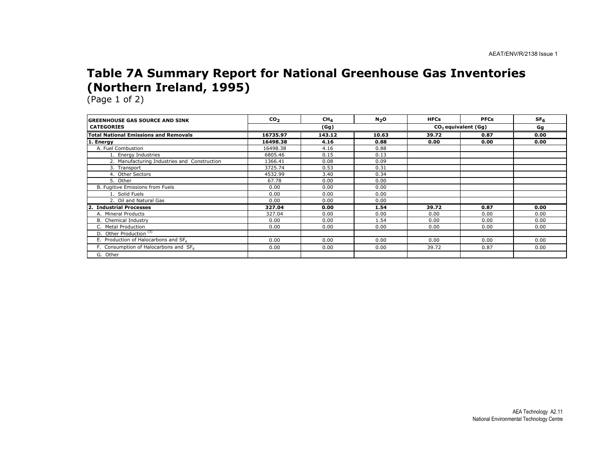### Table 7A Summary Report for National Greenhouse Gas Inventories (Northern Ireland, 1995)

| <b>IGREENHOUSE GAS SOURCE AND SINK</b>            | CO <sub>2</sub> | CH <sub>4</sub> | $N2$ O | <b>HFCs</b> | <b>PFCs</b>                     | SF <sub>6</sub> |
|---------------------------------------------------|-----------------|-----------------|--------|-------------|---------------------------------|-----------------|
| <b>CATEGORIES</b>                                 |                 | (Gg)            |        |             | CO <sub>2</sub> equivalent (Gq) | Gg              |
| <b>Total National Emissions and Removals</b>      | 16735.97        | 143.12          | 10.63  | 39.72       | 0.87                            | 0.00            |
| 1. Energy                                         | 16498.38        | 4.16            | 0.88   | 0.00        | 0.00                            | 0.00            |
| A. Fuel Combustion                                | 16498.38        | 4.16            | 0.88   |             |                                 |                 |
| 1. Energy Industries                              | 6805.46         | 0.15            | 0.13   |             |                                 |                 |
| 2. Manufacturing Industries and Construction      | 1366.41         | 0.08            | 0.09   |             |                                 |                 |
| 3. Transport                                      | 3725.74         | 0.53            | 0.31   |             |                                 |                 |
| 4. Other Sectors                                  | 4532.99         | 3.40            | 0.34   |             |                                 |                 |
| 5. Other                                          | 67.78           | 0.00            | 0.00   |             |                                 |                 |
| B. Fugitive Emissions from Fuels                  | 0.00            | 0.00            | 0.00   |             |                                 |                 |
| 1. Solid Fuels                                    | 0.00            | 0.00            | 0.00   |             |                                 |                 |
| 2. Oil and Natural Gas                            | 0.00            | 0.00            | 0.00   |             |                                 |                 |
| 2. Industrial Processes                           | 327.04          | 0.00            | 1.54   | 39.72       | 0.87                            | 0.00            |
| A. Mineral Products                               | 327.04          | 0.00            | 0.00   | 0.00        | 0.00                            | 0.00            |
| B. Chemical Industry                              | 0.00            | 0.00            | 1.54   | 0.00        | 0.00                            | 0.00            |
| C. Metal Production                               | 0.00            | 0.00            | 0.00   | 0.00        | 0.00                            | 0.00            |
| D. Other Production <sup>(3)</sup>                |                 |                 |        |             |                                 |                 |
| E. Production of Halocarbons and SF6              | 0.00            | 0.00            | 0.00   | 0.00        | 0.00                            | 0.00            |
| F. Consumption of Halocarbons and SF <sub>6</sub> | 0.00            | 0.00            | 0.00   | 39.72       | 0.87                            | 0.00            |
| G. Other                                          |                 |                 |        |             |                                 |                 |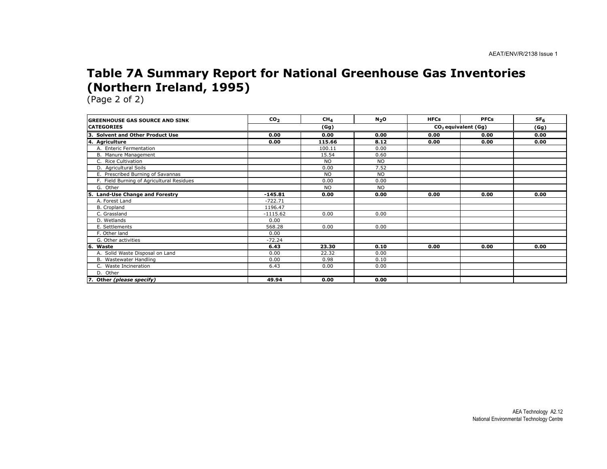### Table 7A Summary Report for National Greenhouse Gas Inventories (Northern Ireland, 1995)

| <b>IGREENHOUSE GAS SOURCE AND SINK</b>    | CO <sub>2</sub> | CH <sub>4</sub> | N <sub>2</sub> O | <b>HFCs</b> | <b>PFCs</b>           | SF <sub>6</sub> |
|-------------------------------------------|-----------------|-----------------|------------------|-------------|-----------------------|-----------------|
| <b>CATEGORIES</b>                         |                 | (Gg)            |                  |             | $CO2$ equivalent (Gg) | (Gg)            |
| 3. Solvent and Other Product Use          | 0.00            | 0.00            | 0.00             | 0.00        | 0.00                  | 0.00            |
| 4. Agriculture                            | 0.00            | 115.66          | 8.12             | 0.00        | 0.00                  | 0.00            |
| A. Enteric Fermentation                   |                 | 100.11          | 0.00             |             |                       |                 |
| B. Manure Management                      |                 | 15.54           | 0.60             |             |                       |                 |
| C. Rice Cultivation                       |                 | <b>NO</b>       | <b>NO</b>        |             |                       |                 |
| D. Agricultural Soils                     |                 | 0.00            | 7.52             |             |                       |                 |
| E. Prescribed Burning of Savannas         |                 | <b>NO</b>       | <b>NO</b>        |             |                       |                 |
| F. Field Burning of Agricultural Residues |                 | 0.00            | 0.00             |             |                       |                 |
| G. Other                                  |                 | <b>NO</b>       | NO.              |             |                       |                 |
| Land-Use Change and Forestry<br>5.        | $-145.81$       | 0.00            | 0.00             | 0.00        | 0.00                  | 0.00            |
| A. Forest Land                            | $-722.71$       |                 |                  |             |                       |                 |
| B. Cropland                               | 1196.47         |                 |                  |             |                       |                 |
| C. Grassland                              | $-1115.62$      | 0.00            | 0.00             |             |                       |                 |
| D. Wetlands                               | 0.00            |                 |                  |             |                       |                 |
| E. Settlements                            | 568.28          | 0.00            | 0.00             |             |                       |                 |
| F. Other land                             | 0.00            |                 |                  |             |                       |                 |
| G. Other activities                       | $-72.24$        |                 |                  |             |                       |                 |
| l6.<br>Waste                              | 6.43            | 23.30           | 0.10             | 0.00        | 0.00                  | 0.00            |
| A. Solid Waste Disposal on Land           | 0.00            | 22.32           | 0.00             |             |                       |                 |
| B. Wastewater Handling                    | 0.00            | 0.98            | 0.10             |             |                       |                 |
| C. Waste Incineration                     | 6.43            | 0.00            | 0.00             |             |                       |                 |
| D. Other                                  |                 |                 |                  |             |                       |                 |
| 7. Other (please specify)                 | 49.94           | 0.00            | 0.00             |             |                       |                 |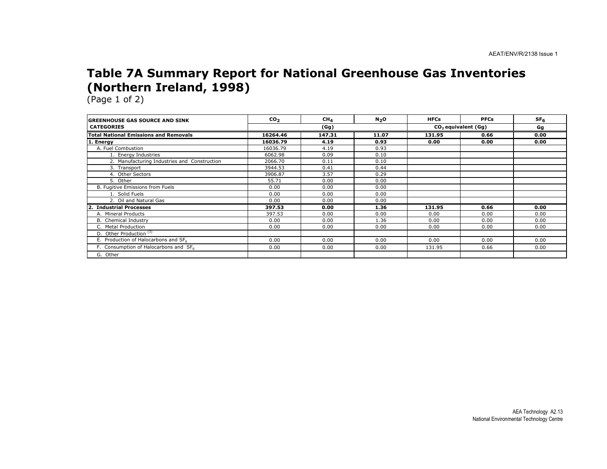### Table 7A Summary Report for National Greenhouse Gas Inventories (Northern Ireland, 1998)

| <b>IGREENHOUSE GAS SOURCE AND SINK</b>       | CO <sub>2</sub> | CH <sub>4</sub> | $N_2$ O | <b>HFCs</b> | <b>PFCs</b>           | SF <sub>6</sub> |
|----------------------------------------------|-----------------|-----------------|---------|-------------|-----------------------|-----------------|
| <b>CATEGORIES</b>                            |                 | (Gg)            |         |             | $CO2$ equivalent (Gg) |                 |
| <b>Total National Emissions and Removals</b> | 16264.46        | 147.31          | 11.07   | 131.95      | 0.66                  | 0.00            |
| 1. Energy                                    | 16036.79        | 4.19            | 0.93    | 0.00        | 0.00                  | 0.00            |
| A. Fuel Combustion                           | 16036.79        | 4.19            | 0.93    |             |                       |                 |
| 1. Energy Industries                         | 6062.98         | 0.09            | 0.10    |             |                       |                 |
| 2. Manufacturing Industries and Construction | 2066.70         | 0.11            | 0.10    |             |                       |                 |
| 3. Transport                                 | 3944.53         | 0.41            | 0.44    |             |                       |                 |
| 4. Other Sectors                             | 3906.87         | 3.57            | 0.29    |             |                       |                 |
| 5. Other                                     | 55.71           | 0.00            | 0.00    |             |                       |                 |
| B. Fugitive Emissions from Fuels             | 0.00            | 0.00            | 0.00    |             |                       |                 |
| 1. Solid Fuels                               | 0.00            | 0.00            | 0.00    |             |                       |                 |
| 2. Oil and Natural Gas                       | 0.00            | 0.00            | 0.00    |             |                       |                 |
| 2. Industrial Processes                      | 397.53          | 0.00            | 1.36    | 131.95      | 0.66                  | 0.00            |
| A. Mineral Products                          | 397.53          | 0.00            | 0.00    | 0.00        | 0.00                  | 0.00            |
| B. Chemical Industry                         | 0.00            | 0.00            | 1.36    | 0.00        | 0.00                  | 0.00            |
| C. Metal Production                          | 0.00            | 0.00            | 0.00    | 0.00        | 0.00                  | 0.00            |
| D. Other Production <sup>(3)</sup>           |                 |                 |         |             |                       |                 |
| E. Production of Halocarbons and SF6         | 0.00            | 0.00            | 0.00    | 0.00        | 0.00                  | 0.00            |
| F. Consumption of Halocarbons and SF6        | 0.00            | 0.00            | 0.00    | 131.95      | 0.66                  | 0.00            |
| G. Other                                     |                 |                 |         |             |                       |                 |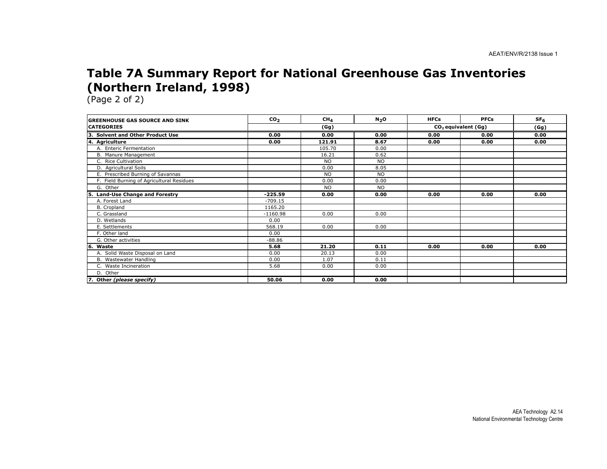### Table 7A Summary Report for National Greenhouse Gas Inventories (Northern Ireland, 1998)

| <b>IGREENHOUSE GAS SOURCE AND SINK</b>      | CO <sub>2</sub> | CH <sub>4</sub> | N <sub>2</sub> O | <b>HFCs</b> | <b>PFCs</b>                     | SF <sub>6</sub> |
|---------------------------------------------|-----------------|-----------------|------------------|-------------|---------------------------------|-----------------|
| <b>ICATEGORIES</b>                          |                 | (Gg)            |                  |             | CO <sub>2</sub> equivalent (Gg) |                 |
| Із.<br><b>Solvent and Other Product Use</b> | 0.00            | 0.00            | 0.00             | 0.00        | 0.00                            | 0.00            |
| 4. Agriculture                              | 0.00            | 121.91          | 8.67             | 0.00        | 0.00                            | 0.00            |
| A. Enteric Fermentation                     |                 | 105.70          | 0.00             |             |                                 |                 |
| B. Manure Management                        |                 | 16.21           | 0.62             |             |                                 |                 |
| C. Rice Cultivation                         |                 | <b>NO</b>       | <b>NO</b>        |             |                                 |                 |
| D. Agricultural Soils                       |                 | 0.00            | 8.05             |             |                                 |                 |
| E. Prescribed Burning of Savannas           |                 | <b>NO</b>       | <b>NO</b>        |             |                                 |                 |
| F. Field Burning of Agricultural Residues   |                 | 0.00            | 0.00             |             |                                 |                 |
| G. Other                                    |                 | <b>NO</b>       | <b>NO</b>        |             |                                 |                 |
| <b>Land-Use Change and Forestry</b><br>5.   | $-225.59$       | 0.00            | 0.00             | 0.00        | 0.00                            | 0.00            |
| A. Forest Land                              | $-709.15$       |                 |                  |             |                                 |                 |
| B. Cropland                                 | 1165.20         |                 |                  |             |                                 |                 |
| C. Grassland                                | $-1160.98$      | 0.00            | 0.00             |             |                                 |                 |
| D. Wetlands                                 | 0.00            |                 |                  |             |                                 |                 |
| E. Settlements                              | 568.19          | 0.00            | 0.00             |             |                                 |                 |
| F. Other land                               | 0.00            |                 |                  |             |                                 |                 |
| G. Other activities                         | $-88.86$        |                 |                  |             |                                 |                 |
| 6. Waste                                    | 5.68            | 21.20           | 0.11             | 0.00        | 0.00                            | 0.00            |
| A. Solid Waste Disposal on Land             | 0.00            | 20.13           | 0.00             |             |                                 |                 |
| B. Wastewater Handling                      | 0.00            | 1.07            | 0.11             |             |                                 |                 |
| C. Waste Incineration                       | 5.68            | 0.00            | 0.00             |             |                                 |                 |
| D. Other                                    |                 |                 |                  |             |                                 |                 |
| 7. Other (please specify)                   | 50.06           | 0.00            | 0.00             |             |                                 |                 |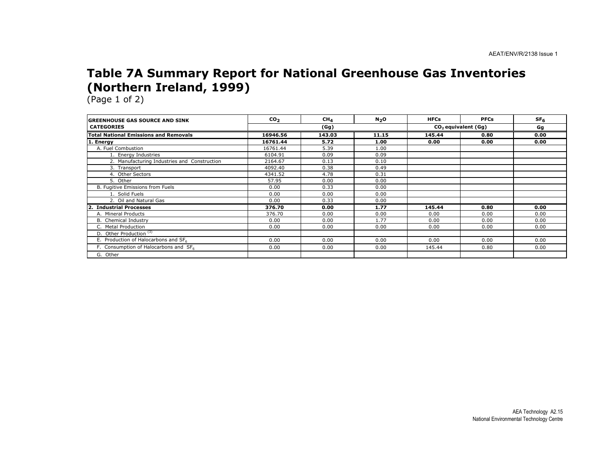### Table 7A Summary Report for National Greenhouse Gas Inventories (Northern Ireland, 1999)

| <b>GREENHOUSE GAS SOURCE AND SINK</b>        | CO <sub>2</sub> | CH <sub>4</sub> | $N_2$ O | <b>HFCs</b> | <b>PFCs</b>                     | SF <sub>6</sub> |
|----------------------------------------------|-----------------|-----------------|---------|-------------|---------------------------------|-----------------|
| <b>CATEGORIES</b>                            |                 | (Gg)            |         |             | CO <sub>2</sub> equivalent (Gq) |                 |
| <b>Total National Emissions and Removals</b> | 16946.56        | 143.03          | 11.15   | 145.44      | 0.80                            | 0.00            |
| 1. Energy                                    | 16761.44        | 5.72            | 1.00    | 0.00        | 0.00                            | 0.00            |
| A. Fuel Combustion                           | 16761.44        | 5.39            | 1.00    |             |                                 |                 |
| 1. Energy Industries                         | 6104.91         | 0.09            | 0.09    |             |                                 |                 |
| 2. Manufacturing Industries and Construction | 2164.67         | 0.13            | 0.10    |             |                                 |                 |
| 3. Transport                                 | 4092.40         | 0.38            | 0.49    |             |                                 |                 |
| 4. Other Sectors                             | 4341.52         | 4.78            | 0.31    |             |                                 |                 |
| 5. Other                                     | 57.95           | 0.00            | 0.00    |             |                                 |                 |
| B. Fugitive Emissions from Fuels             | 0.00            | 0.33            | 0.00    |             |                                 |                 |
| 1. Solid Fuels                               | 0.00            | 0.00            | 0.00    |             |                                 |                 |
| 2. Oil and Natural Gas                       | 0.00            | 0.33            | 0.00    |             |                                 |                 |
| <b>Industrial Processes</b>                  | 376.70          | 0.00            | 1.77    | 145.44      | 0.80                            | 0.00            |
| A. Mineral Products                          | 376.70          | 0.00            | 0.00    | 0.00        | 0.00                            | 0.00            |
| <b>B.</b> Chemical Industry                  | 0.00            | 0.00            | 1.77    | 0.00        | 0.00                            | 0.00            |
| C. Metal Production                          | 0.00            | 0.00            | 0.00    | 0.00        | 0.00                            | 0.00            |
| D. Other Production <sup>(3)</sup>           |                 |                 |         |             |                                 |                 |
| E. Production of Halocarbons and SF6         | 0.00            | 0.00            | 0.00    | 0.00        | 0.00                            | 0.00            |
| F. Consumption of Halocarbons and SF6        | 0.00            | 0.00            | 0.00    | 145.44      | 0.80                            | 0.00            |
| G. Other                                     |                 |                 |         |             |                                 |                 |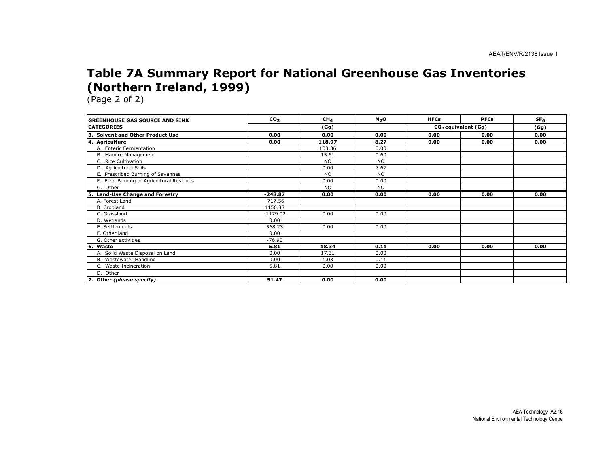### Table 7A Summary Report for National Greenhouse Gas Inventories (Northern Ireland, 1999)

| <b>IGREENHOUSE GAS SOURCE AND SINK</b>      | CO <sub>2</sub> | CH <sub>4</sub> | N <sub>2</sub> O | <b>HFCs</b> | <b>PFCs</b>                     | SF <sub>6</sub> |
|---------------------------------------------|-----------------|-----------------|------------------|-------------|---------------------------------|-----------------|
| <b>ICATEGORIES</b>                          |                 | (Gg)            |                  |             | CO <sub>2</sub> equivalent (Gg) |                 |
| Із.<br><b>Solvent and Other Product Use</b> | 0.00            | 0.00            | 0.00             | 0.00        | 0.00                            | 0.00            |
| 4. Agriculture                              | 0.00            | 118.97          | 8.27             | 0.00        | 0.00                            | 0.00            |
| A. Enteric Fermentation                     |                 | 103.36          | 0.00             |             |                                 |                 |
| B. Manure Management                        |                 | 15.61           | 0.60             |             |                                 |                 |
| C. Rice Cultivation                         |                 | <b>NO</b>       | <b>NO</b>        |             |                                 |                 |
| D. Agricultural Soils                       |                 | 0.00            | 7.67             |             |                                 |                 |
| E. Prescribed Burning of Savannas           |                 | <b>NO</b>       | <b>NO</b>        |             |                                 |                 |
| F. Field Burning of Agricultural Residues   |                 | 0.00            | 0.00             |             |                                 |                 |
| G. Other                                    |                 | <b>NO</b>       | <b>NO</b>        |             |                                 |                 |
| <b>Land-Use Change and Forestry</b><br>5.   | $-248.87$       | 0.00            | 0.00             | 0.00        | 0.00                            | 0.00            |
| A. Forest Land                              | $-717.56$       |                 |                  |             |                                 |                 |
| B. Cropland                                 | 1156.38         |                 |                  |             |                                 |                 |
| C. Grassland                                | $-1179.02$      | 0.00            | 0.00             |             |                                 |                 |
| D. Wetlands                                 | 0.00            |                 |                  |             |                                 |                 |
| E. Settlements                              | 568.23          | 0.00            | 0.00             |             |                                 |                 |
| F. Other land                               | 0.00            |                 |                  |             |                                 |                 |
| G. Other activities                         | $-76.90$        |                 |                  |             |                                 |                 |
| 6. Waste                                    | 5.81            | 18.34           | 0.11             | 0.00        | 0.00                            | 0.00            |
| A. Solid Waste Disposal on Land             | 0.00            | 17.31           | 0.00             |             |                                 |                 |
| B. Wastewater Handling                      | 0.00            | 1.03            | 0.11             |             |                                 |                 |
| C. Waste Incineration                       | 5.81            | 0.00            | 0.00             |             |                                 |                 |
| D. Other                                    |                 |                 |                  |             |                                 |                 |
| 7. Other (please specify)                   | 51.47           | 0.00            | 0.00             |             |                                 |                 |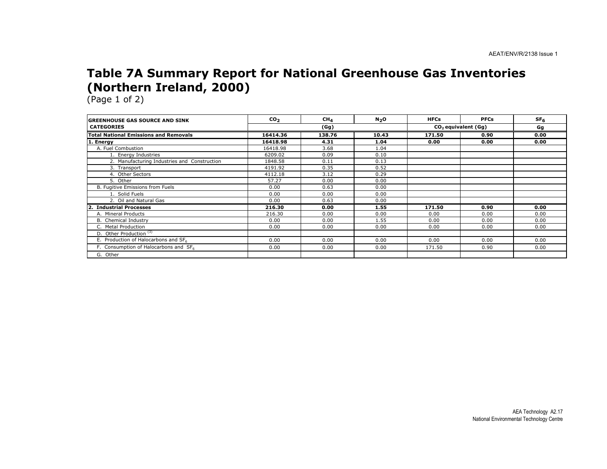### Table 7A Summary Report for National Greenhouse Gas Inventories (Northern Ireland, 2000)

| <b>IGREENHOUSE GAS SOURCE AND SINK</b>            | CO <sub>2</sub> | CH <sub>4</sub> | N <sub>2</sub> O | <b>HFCs</b>                     | <b>PFCs</b> | SF <sub>6</sub> |
|---------------------------------------------------|-----------------|-----------------|------------------|---------------------------------|-------------|-----------------|
| <b>CATEGORIES</b>                                 |                 | (Gg)            |                  | CO <sub>2</sub> equivalent (Gq) |             | Gg              |
| <b>Total National Emissions and Removals</b>      | 16414.36        | 138.76          | 10.43            | 171.50                          | 0.90        | 0.00            |
| 1. Energy                                         | 16418.98        | 4.31            | 1.04             | 0.00                            | 0.00        | 0.00            |
| A. Fuel Combustion                                | 16418.98        | 3.68            | 1.04             |                                 |             |                 |
| 1. Energy Industries                              | 6209.02         | 0.09            | 0.10             |                                 |             |                 |
| 2. Manufacturing Industries and Construction      | 1848.58         | 0.11            | 0.13             |                                 |             |                 |
| 3. Transport                                      | 4191.92         | 0.35            | 0.52             |                                 |             |                 |
| 4. Other Sectors                                  | 4112.18         | 3.12            | 0.29             |                                 |             |                 |
| 5. Other                                          | 57.27           | 0.00            | 0.00             |                                 |             |                 |
| B. Fugitive Emissions from Fuels                  | 0.00            | 0.63            | 0.00             |                                 |             |                 |
| 1. Solid Fuels                                    | 0.00            | 0.00            | 0.00             |                                 |             |                 |
| 2. Oil and Natural Gas                            | 0.00            | 0.63            | 0.00             |                                 |             |                 |
| <b>Industrial Processes</b>                       | 216.30          | 0.00            | 1.55             | 171.50                          | 0.90        | 0.00            |
| A. Mineral Products                               | 216.30          | 0.00            | 0.00             | 0.00                            | 0.00        | 0.00            |
| B. Chemical Industry                              | 0.00            | 0.00            | 1.55             | 0.00                            | 0.00        | 0.00            |
| C. Metal Production                               | 0.00            | 0.00            | 0.00             | 0.00                            | 0.00        | 0.00            |
| D. Other Production <sup>(3)</sup>                |                 |                 |                  |                                 |             |                 |
| E. Production of Halocarbons and SF6              | 0.00            | 0.00            | 0.00             | 0.00                            | 0.00        | 0.00            |
| F. Consumption of Halocarbons and SF <sub>6</sub> | 0.00            | 0.00            | 0.00             | 171.50                          | 0.90        | 0.00            |
| G. Other                                          |                 |                 |                  |                                 |             |                 |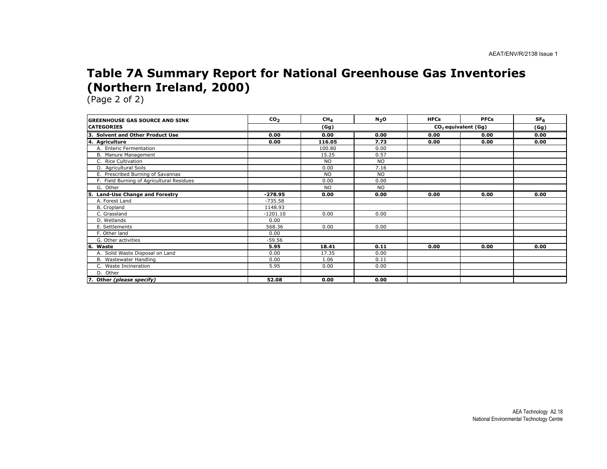### Table 7A Summary Report for National Greenhouse Gas Inventories (Northern Ireland, 2000)

| <b>IGREENHOUSE GAS SOURCE AND SINK</b>      | CO <sub>2</sub> | CH <sub>4</sub> | N <sub>2</sub> O | <b>HFCs</b> | <b>PFCs</b>           | SF <sub>6</sub> |
|---------------------------------------------|-----------------|-----------------|------------------|-------------|-----------------------|-----------------|
| <b>ICATEGORIES</b>                          |                 | (Gg)            |                  |             | $CO2$ equivalent (Gg) |                 |
| Із.<br><b>Solvent and Other Product Use</b> | 0.00            | 0.00            | 0.00             | 0.00        | 0.00                  | 0.00            |
| 4. Agriculture                              | 0.00            | 116.05          | 7.73             | 0.00        | 0.00                  | 0.00            |
| A. Enteric Fermentation                     |                 | 100.80          | 0.00             |             |                       |                 |
| B. Manure Management                        |                 | 15.25           | 0.57             |             |                       |                 |
| C. Rice Cultivation                         |                 | <b>NO</b>       | <b>NO</b>        |             |                       |                 |
| D. Agricultural Soils                       |                 | 0.00            | 7.16             |             |                       |                 |
| E. Prescribed Burning of Savannas           |                 | <b>NO</b>       | <b>NO</b>        |             |                       |                 |
| F. Field Burning of Agricultural Residues   |                 | 0.00            | 0.00             |             |                       |                 |
| G. Other                                    |                 | <b>NO</b>       | <b>NO</b>        |             |                       |                 |
| <b>Land-Use Change and Forestry</b><br>5.   | $-278.95$       | 0.00            | 0.00             | 0.00        | 0.00                  | 0.00            |
| A. Forest Land                              | $-735.58$       |                 |                  |             |                       |                 |
| B. Cropland                                 | 1148.93         |                 |                  |             |                       |                 |
| C. Grassland                                | $-1201.10$      | 0.00            | 0.00             |             |                       |                 |
| D. Wetlands                                 | 0.00            |                 |                  |             |                       |                 |
| E. Settlements                              | 568.36          | 0.00            | 0.00             |             |                       |                 |
| F. Other land                               | 0.00            |                 |                  |             |                       |                 |
| G. Other activities                         | $-59.56$        |                 |                  |             |                       |                 |
| l6.<br>Waste                                | 5.95            | 18.41           | 0.11             | 0.00        | 0.00                  | 0.00            |
| A. Solid Waste Disposal on Land             | 0.00            | 17.35           | 0.00             |             |                       |                 |
| B. Wastewater Handling                      | 0.00            | 1.06            | 0.11             |             |                       |                 |
| C. Waste Incineration                       | 5.95            | 0.00            | 0.00             |             |                       |                 |
| D. Other                                    |                 |                 |                  |             |                       |                 |
| 7. Other (please specify)                   | 52.08           | 0.00            | 0.00             |             |                       |                 |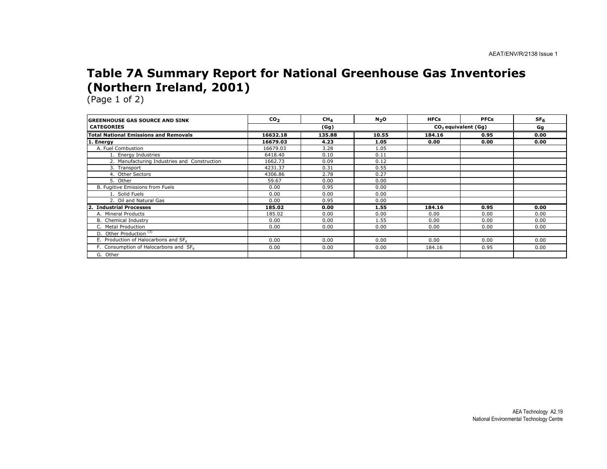### Table 7A Summary Report for National Greenhouse Gas Inventories (Northern Ireland, 2001)

| <b>GREENHOUSE GAS SOURCE AND SINK</b>            | CO <sub>2</sub> | CH <sub>4</sub> | N <sub>2</sub> O | <b>HFCs</b> | <b>PFCs</b>           | SF <sub>6</sub> |
|--------------------------------------------------|-----------------|-----------------|------------------|-------------|-----------------------|-----------------|
| <b>CATEGORIES</b>                                |                 | (Gg)            |                  |             | $CO2$ equivalent (Gg) |                 |
| <b>Total National Emissions and Removals</b>     | 16632.18        | 135.88          | 10.55            | 184.16      | 0.95                  | 0.00            |
| 1. Energy                                        | 16679.03        | 4.23            | 1.05             | 0.00        | 0.00                  | 0.00            |
| A. Fuel Combustion                               | 16679.03        | 3.28            | 1.05             |             |                       |                 |
| 1. Energy Industries                             | 6418.40         | 0.10            | 0.11             |             |                       |                 |
| 2. Manufacturing Industries and Construction     | 1662.73         | 0.09            | 0.12             |             |                       |                 |
| 3. Transport                                     | 4231.37         | 0.31            | 0.55             |             |                       |                 |
| 4. Other Sectors                                 | 4306.86         | 2.78            | 0.27             |             |                       |                 |
| 5. Other                                         | 59.67           | 0.00            | 0.00             |             |                       |                 |
| B. Fugitive Emissions from Fuels                 | 0.00            | 0.95            | 0.00             |             |                       |                 |
| 1. Solid Fuels                                   | 0.00            | 0.00            | 0.00             |             |                       |                 |
| 2. Oil and Natural Gas                           | 0.00            | 0.95            | 0.00             |             |                       |                 |
| <b>Industrial Processes</b>                      | 185.02          | 0.00            | 1.55             | 184.16      | 0.95                  | 0.00            |
| A. Mineral Products                              | 185.02          | 0.00            | 0.00             | 0.00        | 0.00                  | 0.00            |
| B. Chemical Industry                             | 0.00            | 0.00            | 1.55             | 0.00        | 0.00                  | 0.00            |
| C. Metal Production                              | 0.00            | 0.00            | 0.00             | 0.00        | 0.00                  | 0.00            |
| D. Other Production <sup>(3)</sup>               |                 |                 |                  |             |                       |                 |
| E. Production of Halocarbons and SF <sub>6</sub> | 0.00            | 0.00            | 0.00             | 0.00        | 0.00                  | 0.00            |
| F. Consumption of Halocarbons and SF6            | 0.00            | 0.00            | 0.00             | 184.16      | 0.95                  | 0.00            |
| G. Other                                         |                 |                 |                  |             |                       |                 |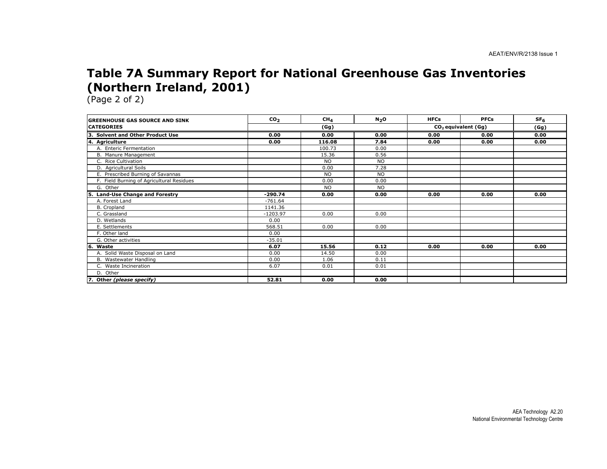### Table 7A Summary Report for National Greenhouse Gas Inventories (Northern Ireland, 2001)

| <b>GREENHOUSE GAS SOURCE AND SINK</b>     | CO <sub>2</sub> | CH <sub>4</sub> | N <sub>2</sub> O | <b>HFCs</b> | <b>PFCs</b>           | SF <sub>6</sub> |  |
|-------------------------------------------|-----------------|-----------------|------------------|-------------|-----------------------|-----------------|--|
| <b>CATEGORIES</b>                         | (Gg)            |                 |                  |             | $CO2$ equivalent (Gg) |                 |  |
| 3. Solvent and Other Product Use          | 0.00            | 0.00            | 0.00             | 0.00        | 0.00                  | 0.00            |  |
| 4. Agriculture                            | 0.00            | 116.08          | 7.84             | 0.00        | 0.00                  | 0.00            |  |
| A. Enteric Fermentation                   |                 | 100.73          | 0.00             |             |                       |                 |  |
| B. Manure Management                      |                 | 15.36           | 0.56             |             |                       |                 |  |
| C. Rice Cultivation                       |                 | <b>NO</b>       | <b>NO</b>        |             |                       |                 |  |
| D. Agricultural Soils                     |                 | 0.00            | 7.28             |             |                       |                 |  |
| E. Prescribed Burning of Savannas         |                 | <b>NO</b>       | <b>NO</b>        |             |                       |                 |  |
| F. Field Burning of Agricultural Residues |                 | 0.00            | 0.00             |             |                       |                 |  |
| G. Other                                  |                 | <b>NO</b>       | <b>NO</b>        |             |                       |                 |  |
| 5. Land-Use Change and Forestry           | $-290.74$       | 0.00            | 0.00             | 0.00        | 0.00                  | 0.00            |  |
| A. Forest Land                            | $-761.64$       |                 |                  |             |                       |                 |  |
| B. Cropland                               | 1141.36         |                 |                  |             |                       |                 |  |
| C. Grassland                              | $-1203.97$      | 0.00            | 0.00             |             |                       |                 |  |
| D. Wetlands                               | 0.00            |                 |                  |             |                       |                 |  |
| E. Settlements                            | 568.51          | 0.00            | 0.00             |             |                       |                 |  |
| F. Other land                             | 0.00            |                 |                  |             |                       |                 |  |
| G. Other activities                       | $-35.01$        |                 |                  |             |                       |                 |  |
| l6.<br>Waste                              | 6.07            | 15.56           | 0.12             | 0.00        | 0.00                  | 0.00            |  |
| A. Solid Waste Disposal on Land           | 0.00            | 14.50           | 0.00             |             |                       |                 |  |
| B. Wastewater Handling                    | 0.00            | 1.06            | 0.11             |             |                       |                 |  |
| C. Waste Incineration                     | 6.07            | 0.01            | 0.01             |             |                       |                 |  |
| D. Other                                  |                 |                 |                  |             |                       |                 |  |
| 7. Other (please specify)                 | 52.81           | 0.00            | 0.00             |             |                       |                 |  |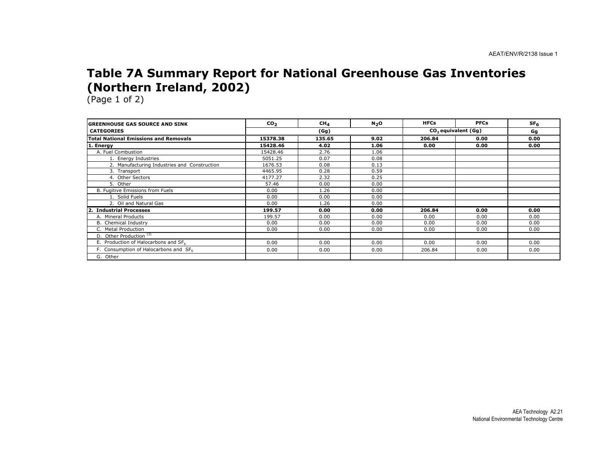### Table 7A Summary Report for National Greenhouse Gas Inventories (Northern Ireland, 2002)

| <b>GREENHOUSE GAS SOURCE AND SINK</b>        | CO <sub>2</sub> | CH <sub>4</sub> | N <sub>2</sub> O | <b>HFCs</b> | <b>PFCs</b>                     | SF <sub>6</sub> |
|----------------------------------------------|-----------------|-----------------|------------------|-------------|---------------------------------|-----------------|
| <b>CATEGORIES</b>                            |                 | (Gg)            |                  |             | CO <sub>2</sub> equivalent (Gg) | Gg              |
| <b>Total National Emissions and Removals</b> | 15378.38        | 135.65          | 9.02             | 206.84      | 0.00                            | 0.00            |
| . Energy                                     | 15428.46        | 4.02            | 1.06             | 0.00        | 0.00                            | 0.00            |
| A. Fuel Combustion                           | 15428.46        | 2.76            | 1.06             |             |                                 |                 |
| 1. Energy Industries                         | 5051.25         | 0.07            | 0.08             |             |                                 |                 |
| 2. Manufacturing Industries and Construction | 1676.53         | 0.08            | 0.13             |             |                                 |                 |
| 3. Transport                                 | 4465.95         | 0.28            | 0.59             |             |                                 |                 |
| 4. Other Sectors                             | 4177.27         | 2.32            | 0.25             |             |                                 |                 |
| 5. Other                                     | 57.46           | 0.00            | 0.00             |             |                                 |                 |
| B. Fugitive Emissions from Fuels             | 0.00            | 1.26            | 0.00             |             |                                 |                 |
| 1. Solid Fuels                               | 0.00            | 0.00            | 0.00             |             |                                 |                 |
| 2. Oil and Natural Gas                       | 0.00            | 1.26            | 0.00             |             |                                 |                 |
| <b>Industrial Processes</b><br>$\mathbf{2}$  | 199.57          | 0.00            | 0.00             | 206.84      | 0.00                            | 0.00            |
| A. Mineral Products                          | 199.57          | 0.00            | 0.00             | 0.00        | 0.00                            | 0.00            |
| B. Chemical Industry                         | 0.00            | 0.00            | 0.00             | 0.00        | 0.00                            | 0.00            |
| C. Metal Production                          | 0.00            | 0.00            | 0.00             | 0.00        | 0.00                            | 0.00            |
| D. Other Production <sup>(3)</sup>           |                 |                 |                  |             |                                 |                 |
| E. Production of Halocarbons and SF6         | 0.00            | 0.00            | 0.00             | 0.00        | 0.00                            | 0.00            |
| F. Consumption of Halocarbons and SF6        | 0.00            | 0.00            | 0.00             | 206.84      | 0.00                            | 0.00            |
| G. Other                                     |                 |                 |                  |             |                                 |                 |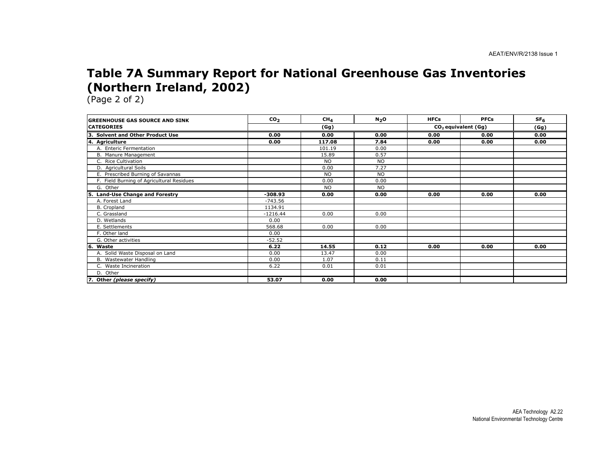### Table 7A Summary Report for National Greenhouse Gas Inventories (Northern Ireland, 2002)

| <b>IGREENHOUSE GAS SOURCE AND SINK</b>      | CO <sub>2</sub> | CH <sub>4</sub> | N <sub>2</sub> O | <b>HFCs</b> | <b>PFCs</b>           | SF <sub>6</sub> |
|---------------------------------------------|-----------------|-----------------|------------------|-------------|-----------------------|-----------------|
| <b>ICATEGORIES</b>                          |                 | (Gg)            |                  |             | $CO2$ equivalent (Gg) |                 |
| Із.<br><b>Solvent and Other Product Use</b> | 0.00            | 0.00            | 0.00             | 0.00        | 0.00                  | 0.00            |
| 4. Agriculture                              | 0.00            | 117.08          | 7.84             | 0.00        | 0.00                  | 0.00            |
| A. Enteric Fermentation                     |                 | 101.19          | 0.00             |             |                       |                 |
| B. Manure Management                        |                 | 15.89           | 0.57             |             |                       |                 |
| C. Rice Cultivation                         |                 | <b>NO</b>       | <b>NO</b>        |             |                       |                 |
| D. Agricultural Soils                       |                 | 0.00            | 7.27             |             |                       |                 |
| E. Prescribed Burning of Savannas           |                 | <b>NO</b>       | <b>NO</b>        |             |                       |                 |
| F. Field Burning of Agricultural Residues   |                 | 0.00            | 0.00             |             |                       |                 |
| G. Other                                    |                 | <b>NO</b>       | <b>NO</b>        |             |                       |                 |
| <b>Land-Use Change and Forestry</b><br>5.   | $-308.93$       | 0.00            | 0.00             | 0.00        | 0.00                  | 0.00            |
| A. Forest Land                              | $-743.56$       |                 |                  |             |                       |                 |
| B. Cropland                                 | 1134.91         |                 |                  |             |                       |                 |
| C. Grassland                                | $-1216.44$      | 0.00            | 0.00             |             |                       |                 |
| D. Wetlands                                 | 0.00            |                 |                  |             |                       |                 |
| E. Settlements                              | 568.68          | 0.00            | 0.00             |             |                       |                 |
| F. Other land                               | 0.00            |                 |                  |             |                       |                 |
| G. Other activities                         | $-52.52$        |                 |                  |             |                       |                 |
| l6.<br>Waste                                | 6.22            | 14.55           | 0.12             | 0.00        | 0.00                  | 0.00            |
| A. Solid Waste Disposal on Land             | 0.00            | 13.47           | 0.00             |             |                       |                 |
| B. Wastewater Handling                      | 0.00            | 1.07            | 0.11             |             |                       |                 |
| C. Waste Incineration                       | 6.22            | 0.01            | 0.01             |             |                       |                 |
| D. Other                                    |                 |                 |                  |             |                       |                 |
| 7. Other (please specify)                   | 53.07           | 0.00            | 0.00             |             |                       |                 |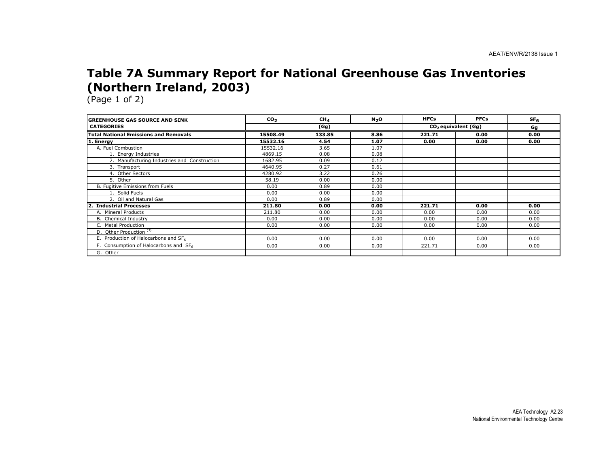### Table 7A Summary Report for National Greenhouse Gas Inventories (Northern Ireland, 2003)

| <b>GREENHOUSE GAS SOURCE AND SINK</b>        | CO <sub>2</sub> | CH <sub>4</sub> | N <sub>2</sub> O | <b>HFCs</b> | <b>PFCs</b>           | SF <sub>6</sub> |
|----------------------------------------------|-----------------|-----------------|------------------|-------------|-----------------------|-----------------|
| <b>CATEGORIES</b>                            |                 | (Gg)            |                  |             | $CO2$ equivalent (Gg) |                 |
| <b>Total National Emissions and Removals</b> | 15508.49        | 133.85          | 8.86             | 221.71      | 0.00                  | 0.00            |
| . Energy                                     | 15532.16        | 4.54            | 1.07             | 0.00        | 0.00                  | 0.00            |
| A. Fuel Combustion                           | 15532.16        | 3.65            | 1.07             |             |                       |                 |
| 1. Energy Industries                         | 4869.15         | 0.08            | 0.08             |             |                       |                 |
| 2. Manufacturing Industries and Construction | 1682.95         | 0.09            | 0.12             |             |                       |                 |
| 3. Transport                                 | 4640.95         | 0.27            | 0.61             |             |                       |                 |
| 4. Other Sectors                             | 4280.92         | 3.22            | 0.26             |             |                       |                 |
| 5. Other                                     | 58.19           | 0.00            | 0.00             |             |                       |                 |
| B. Fugitive Emissions from Fuels             | 0.00            | 0.89            | 0.00             |             |                       |                 |
| 1. Solid Fuels                               | 0.00            | 0.00            | 0.00             |             |                       |                 |
| 2. Oil and Natural Gas                       | 0.00            | 0.89            | 0.00             |             |                       |                 |
| <b>Industrial Processes</b><br>2.            | 211.80          | 0.00            | 0.00             | 221.71      | 0.00                  | 0.00            |
| A. Mineral Products                          | 211.80          | 0.00            | 0.00             | 0.00        | 0.00                  | 0.00            |
| B. Chemical Industry                         | 0.00            | 0.00            | 0.00             | 0.00        | 0.00                  | 0.00            |
| C. Metal Production                          | 0.00            | 0.00            | 0.00             | 0.00        | 0.00                  | 0.00            |
| D. Other Production <sup>(3)</sup>           |                 |                 |                  |             |                       |                 |
| E. Production of Halocarbons and SF6         | 0.00            | 0.00            | 0.00             | 0.00        | 0.00                  | 0.00            |
| F. Consumption of Halocarbons and SF6        | 0.00            | 0.00            | 0.00             | 221.71      | 0.00                  | 0.00            |
| G. Other                                     |                 |                 |                  |             |                       |                 |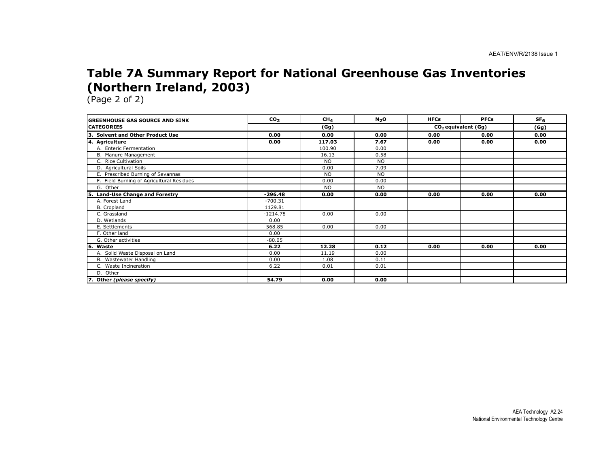### Table 7A Summary Report for National Greenhouse Gas Inventories (Northern Ireland, 2003)

| <b>IGREENHOUSE GAS SOURCE AND SINK</b>      | CO <sub>2</sub> | CH <sub>4</sub> | N <sub>2</sub> O | <b>HFCs</b> | <b>PFCs</b>           | SF <sub>6</sub> |
|---------------------------------------------|-----------------|-----------------|------------------|-------------|-----------------------|-----------------|
| <b>ICATEGORIES</b>                          |                 | (Gg)            |                  |             | $CO2$ equivalent (Gg) |                 |
| Із.<br><b>Solvent and Other Product Use</b> | 0.00            | 0.00            | 0.00             | 0.00        | 0.00                  | 0.00            |
| 4. Agriculture                              | 0.00            | 117.03          | 7.67             | 0.00        | 0.00                  | 0.00            |
| A. Enteric Fermentation                     |                 | 100.90          | 0.00             |             |                       |                 |
| B. Manure Management                        |                 | 16.13           | 0.58             |             |                       |                 |
| C. Rice Cultivation                         |                 | <b>NO</b>       | <b>NO</b>        |             |                       |                 |
| D. Agricultural Soils                       |                 | 0.00            | 7.09             |             |                       |                 |
| E. Prescribed Burning of Savannas           |                 | <b>NO</b>       | <b>NO</b>        |             |                       |                 |
| F. Field Burning of Agricultural Residues   |                 | 0.00            | 0.00             |             |                       |                 |
| G. Other                                    |                 | <b>NO</b>       | <b>NO</b>        |             |                       |                 |
| <b>Land-Use Change and Forestry</b><br>5.   | $-296.48$       | 0.00            | 0.00             | 0.00        | 0.00                  | 0.00            |
| A. Forest Land                              | $-700.31$       |                 |                  |             |                       |                 |
| B. Cropland                                 | 1129.81         |                 |                  |             |                       |                 |
| C. Grassland                                | $-1214.78$      | 0.00            | 0.00             |             |                       |                 |
| D. Wetlands                                 | 0.00            |                 |                  |             |                       |                 |
| E. Settlements                              | 568.85          | 0.00            | 0.00             |             |                       |                 |
| F. Other land                               | 0.00            |                 |                  |             |                       |                 |
| G. Other activities                         | $-80.05$        |                 |                  |             |                       |                 |
| l6.<br>Waste                                | 6.22            | 12.28           | 0.12             | 0.00        | 0.00                  | 0.00            |
| A. Solid Waste Disposal on Land             | 0.00            | 11.19           | 0.00             |             |                       |                 |
| B. Wastewater Handling                      | 0.00            | 1.08            | 0.11             |             |                       |                 |
| C. Waste Incineration                       | 6.22            | 0.01            | 0.01             |             |                       |                 |
| D. Other                                    |                 |                 |                  |             |                       |                 |
| 7. Other (please specify)                   | 54.79           | 0.00            | 0.00             |             |                       |                 |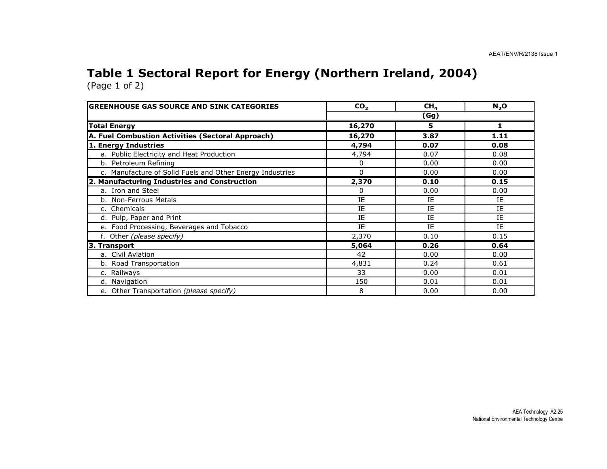#### Table 1 Sectoral Report for Energy (Northern Ireland, 2004)(Page 1 of 2)

| <b>GREENHOUSE GAS SOURCE AND SINK CATEGORIES</b>          | CO <sub>2</sub> | CH <sub>4</sub> | N <sub>2</sub> O |  |  |
|-----------------------------------------------------------|-----------------|-----------------|------------------|--|--|
|                                                           | (Gg)            |                 |                  |  |  |
| <b>Total Energy</b>                                       | 16,270          | 5               |                  |  |  |
| A. Fuel Combustion Activities (Sectoral Approach)         | 16,270          | 3.87            | 1.11             |  |  |
| 1. Energy Industries                                      | 4,794           | 0.07            | 0.08             |  |  |
| a. Public Electricity and Heat Production                 | 4,794           | 0.07            | 0.08             |  |  |
| b. Petroleum Refining                                     | 0               | 0.00            | 0.00             |  |  |
| c. Manufacture of Solid Fuels and Other Energy Industries | 0               | 0.00            | 0.00             |  |  |
| 2. Manufacturing Industries and Construction              | 2,370           | 0.10            | 0.15             |  |  |
| a. Iron and Steel                                         | 0               | 0.00            | 0.00             |  |  |
| b. Non-Ferrous Metals                                     | IE              | ΙE              | IΕ               |  |  |
| c. Chemicals                                              | IE              | IE              | IE               |  |  |
| d. Pulp, Paper and Print                                  | IE              | IE              | IE               |  |  |
| e. Food Processing, Beverages and Tobacco                 | IE              | IE              | IE               |  |  |
| f. Other (please specify)                                 | 2,370           | 0.10            | 0.15             |  |  |
| 3. Transport                                              | 5,064           | 0.26            | 0.64             |  |  |
| a. Civil Aviation                                         | 42              | 0.00            | 0.00             |  |  |
| b. Road Transportation                                    | 4,831           | 0.24            | 0.61             |  |  |
| c. Railways                                               | 33              | 0.00            | 0.01             |  |  |
| d. Navigation                                             | 150             | 0.01            | 0.01             |  |  |
| e. Other Transportation (please specify)                  | 8               | 0.00            | 0.00             |  |  |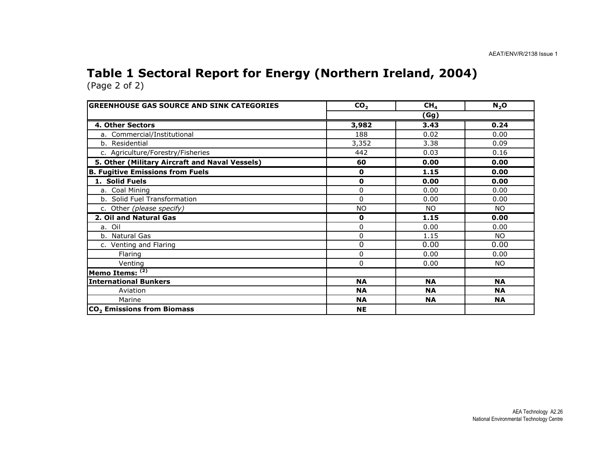#### Table 1 Sectoral Report for Energy (Northern Ireland, 2004)(Page 2 of 2)

| <b>GREENHOUSE GAS SOURCE AND SINK CATEGORIES</b> | CO <sub>2</sub> | CH <sub>4</sub> | N <sub>2</sub> O |  |  |
|--------------------------------------------------|-----------------|-----------------|------------------|--|--|
|                                                  | (Gg)            |                 |                  |  |  |
| 4. Other Sectors                                 | 3,982           | 3.43            | 0.24             |  |  |
| a. Commercial/Institutional                      | 188             | 0.02            | 0.00             |  |  |
| b. Residential                                   | 3,352           | 3.38            | 0.09             |  |  |
| c. Agriculture/Forestry/Fisheries                | 442             | 0.03            | 0.16             |  |  |
| 5. Other (Military Aircraft and Naval Vessels)   | 60              | 0.00            | 0.00             |  |  |
| <b>B. Fugitive Emissions from Fuels</b>          | 0               | 1.15            | 0.00             |  |  |
| 1. Solid Fuels                                   | $\mathbf 0$     | 0.00            | 0.00             |  |  |
| a. Coal Mining                                   | 0               | 0.00            | 0.00             |  |  |
| b. Solid Fuel Transformation                     | 0               | 0.00            | 0.00             |  |  |
| c. Other (please specify)                        | <b>NO</b>       | <b>NO</b>       | NO.              |  |  |
| 2. Oil and Natural Gas                           | 0               | 1.15            | 0.00             |  |  |
| a. Oil                                           | 0               | 0.00            | 0.00             |  |  |
| b. Natural Gas                                   | 0               | 1.15            | NO.              |  |  |
| c. Venting and Flaring                           | 0               | 0.00            | 0.00             |  |  |
| Flaring                                          | 0               | 0.00            | 0.00             |  |  |
| Venting                                          | 0               | 0.00            | NO.              |  |  |
| Memo Items: (2)                                  |                 |                 |                  |  |  |
| <b>International Bunkers</b>                     | <b>NA</b>       | <b>NA</b>       | <b>NA</b>        |  |  |
| Aviation                                         | <b>NA</b>       | <b>NA</b>       | <b>NA</b>        |  |  |
| Marine                                           | <b>NA</b>       | <b>NA</b>       | <b>NA</b>        |  |  |
| $ CO2$ Emissions from Biomass                    | <b>NE</b>       |                 |                  |  |  |

AEA Technology A2.26 National Environmental Technology Centre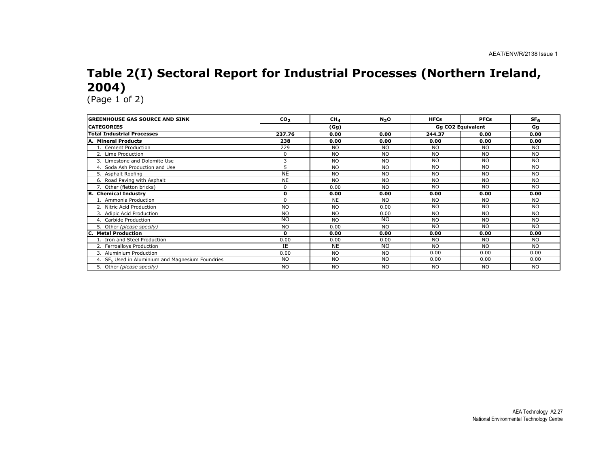# Table 2(I) Sectoral Report for Industrial Processes (Northern Ireland, 2004)

| <b>GREENHOUSE GAS SOURCE AND SINK</b>                        | CO <sub>2</sub> | CH <sub>4</sub> | N <sub>2</sub> O | <b>HFCs</b> | <b>PFCs</b>              | SF <sub>6</sub> |
|--------------------------------------------------------------|-----------------|-----------------|------------------|-------------|--------------------------|-----------------|
| <b>CATEGORIES</b>                                            |                 | (Gg)            |                  |             | <b>Gg CO2 Equivalent</b> |                 |
| Total Industrial Processes                                   | 237.76          | 0.00            | 0.00             | 244.37      | 0.00                     | 0.00            |
| A. Mineral Products                                          | 238             | 0.00            | 0.00             | 0.00        | 0.00                     | 0.00            |
| 1. Cement Production                                         | 229             | <b>NO</b>       | <b>NO</b>        | <b>NO</b>   | <b>NO</b>                | <b>NO</b>       |
| 2. Lime Production                                           | $\Omega$        | <b>NO</b>       | <b>NO</b>        | <b>NO</b>   | <b>NO</b>                | <b>NO</b>       |
| 3. Limestone and Dolomite Use                                | 3               | <b>NO</b>       | <b>NO</b>        | <b>NO</b>   | <b>NO</b>                | <b>NO</b>       |
| 4. Soda Ash Production and Use                               | 5               | <b>NO</b>       | <b>NO</b>        | <b>NO</b>   | <b>NO</b>                | <b>NO</b>       |
| 5. Asphalt Roofing                                           | <b>NE</b>       | <b>NO</b>       | NO.              | <b>NO</b>   | <b>NO</b>                | <b>NO</b>       |
| 6. Road Paving with Asphalt                                  | <b>NE</b>       | <b>NO</b>       | NO.              | <b>NO</b>   | <b>NO</b>                | <b>NO</b>       |
| 7. Other (fletton bricks)                                    | $\Omega$        | 0.00            | <b>NO</b>        | NO.         | <b>NO</b>                | <b>NO</b>       |
| <b>B.</b> Chemical Industry                                  | 0               | 0.00            | 0.00             | 0.00        | 0.00                     | 0.00            |
| 1. Ammonia Production                                        | $\Omega$        | <b>NE</b>       | <b>NO</b>        | <b>NO</b>   | <b>NO</b>                | <b>NO</b>       |
| 2. Nitric Acid Production                                    | <b>NO</b>       | <b>NO</b>       | 0.00             | <b>NO</b>   | <b>NO</b>                | <b>NO</b>       |
| 3. Adipic Acid Production                                    | <b>NO</b>       | <b>NO</b>       | 0.00             | <b>NO</b>   | <b>NO</b>                | <b>NO</b>       |
| 4. Carbide Production                                        | <b>NO</b>       | <b>NO</b>       | <b>NO</b>        | <b>NO</b>   | <b>NO</b>                | <b>NO</b>       |
| 5. Other (please specify)                                    | <b>NO</b>       | 0.00            | <b>NO</b>        | <b>NO</b>   | <b>NO</b>                | NO.             |
| <b>Metal Production</b>                                      | $\mathbf{o}$    | 0.00            | 0.00             | 0.00        | 0.00                     | 0.00            |
| 1. Iron and Steel Production                                 | 0.00            | 0.00            | 0.00             | <b>NO</b>   | <b>NO</b>                | <b>NO</b>       |
| 2. Ferroalloys Production                                    | IE              | <b>NE</b>       | NO.              | NO.         | <b>NO</b>                | NO.             |
| 3. Aluminium Production                                      | 0.00            | <b>NO</b>       | <b>NO</b>        | 0.00        | 0.00                     | 0.00            |
| 4. SF <sub>6</sub> Used in Aluminium and Magnesium Foundries | <b>NO</b>       | <b>NO</b>       | NO.              | 0.00        | 0.00                     | 0.00            |
| 5. Other (please specify)                                    | <b>NO</b>       | <b>NO</b>       | <b>NO</b>        | <b>NO</b>   | <b>NO</b>                | <b>NO</b>       |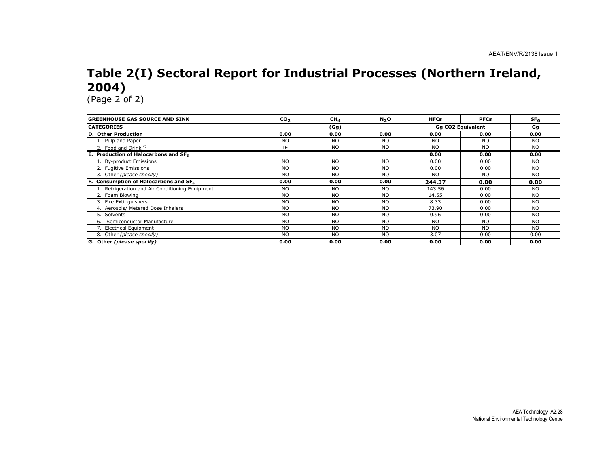# Table 2(I) Sectoral Report for Industrial Processes (Northern Ireland, 2004)

| <b>IGREENHOUSE GAS SOURCE AND SINK</b>          | CO <sub>2</sub> | CH <sub>4</sub> | N <sub>2</sub> O | <b>HFCs</b> | <b>PFCs</b>              | SF <sub>6</sub> |
|-------------------------------------------------|-----------------|-----------------|------------------|-------------|--------------------------|-----------------|
| <b>CATEGORIES</b>                               |                 | (Gg)            |                  |             | <b>Gg CO2 Equivalent</b> | Gq              |
| <b>D. Other Production</b>                      | 0.00            | 0.00            | 0.00             | 0.00        | 0.00                     | 0.00            |
| 1. Pulp and Paper                               | <b>NO</b>       | <b>NO</b>       | <b>NO</b>        | <b>NO</b>   | <b>NO</b>                | <b>NO</b>       |
| 2. Food and $Drink(2)$                          | IE              | <b>NO</b>       | <b>NO</b>        | <b>NO</b>   | <b>NO</b>                | <b>NO</b>       |
| E.<br>Production of Halocarbons and SF6         |                 |                 |                  | 0.00        | 0.00                     | 0.00            |
| 1. By-product Emissions                         | <b>NO</b>       | NO.             | <b>NO</b>        | 0.00        | 0.00                     | <b>NO</b>       |
| 2. Fugitive Emissions                           | <b>NO</b>       | <b>NO</b>       | <b>NO</b>        | 0.00        | 0.00                     | <b>NO</b>       |
| 3. Other (please specify)                       | <b>NO</b>       | NO.             | <b>NO</b>        | <b>NO</b>   | <b>NO</b>                | <b>NO</b>       |
| F. Consumption of Halocarbons and SF6           | 0.00            | 0.00            | 0.00             | 244.37      | 0.00                     | 0.00            |
| 1. Refrigeration and Air Conditioning Equipment | N <sub>O</sub>  | NO.             | <b>NO</b>        | 143.56      | 0.00                     | <b>NO</b>       |
| 2. Foam Blowing                                 | <b>NO</b>       | <b>NO</b>       | <b>NO</b>        | 14.55       | 0.00                     | <b>NO</b>       |
| 3. Fire Extinguishers                           | <b>NO</b>       | <b>NO</b>       | <b>NO</b>        | 8.33        | 0.00                     | <b>NO</b>       |
| 4. Aerosols/ Metered Dose Inhalers              | <b>NO</b>       | <b>NO</b>       | <b>NO</b>        | 73.90       | 0.00                     | <b>NO</b>       |
| 5. Solvents                                     | <b>NO</b>       | NO.             | <b>NO</b>        | 0.96        | 0.00                     | <b>NO</b>       |
| Semiconductor Manufacture<br>6.                 | <b>NO</b>       | <b>NO</b>       | <b>NO</b>        | <b>NO</b>   | <b>NO</b>                | NO.             |
| 7. Electrical Equipment                         | <b>NO</b>       | <b>NO</b>       | <b>NO</b>        | <b>NO</b>   | <b>NO</b>                | <b>NO</b>       |
| 8. Other (please specify)                       | <b>NO</b>       | NO.             | <b>NO</b>        | 3.07        | 0.00                     | 0.00            |
| G. Other (please specify)                       | 0.00            | 0.00            | 0.00             | 0.00        | 0.00                     | 0.00            |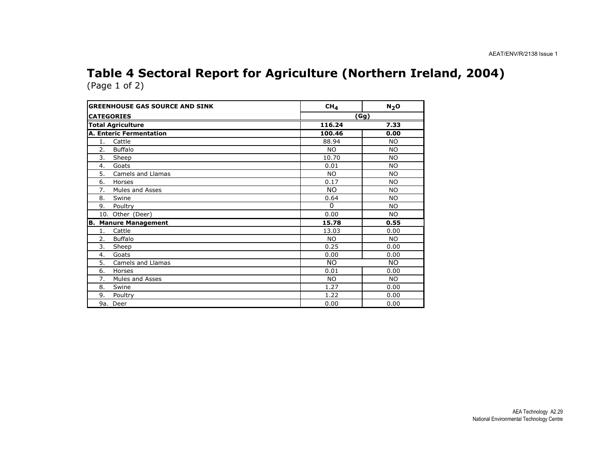#### Table 4 Sectoral Report for Agriculture (Northern Ireland, 2004)(Page 1 of 2)

| <b>GREENHOUSE GAS SOURCE AND SINK</b> |                                | CH <sub>4</sub> | N <sub>2</sub> O |
|---------------------------------------|--------------------------------|-----------------|------------------|
| <b>CATEGORIES</b>                     |                                | <u>(Gg)</u>     |                  |
| <b>Total Agriculture</b>              |                                | 116.24          | 7.33             |
|                                       | <b>A. Enteric Fermentation</b> | 100.46          | 0.00             |
| 1.                                    | Cattle                         | 88.94           | N <sub>O</sub>   |
| 2.                                    | <b>Buffalo</b>                 | <b>NO</b>       | <b>NO</b>        |
| 3.                                    | Sheep                          | 10.70           | <b>NO</b>        |
| 4.                                    | Goats                          | 0.01            | <b>NO</b>        |
| 5.                                    | Camels and Llamas              | NO.             | <b>NO</b>        |
| 6.                                    | Horses                         | 0.17            | <b>NO</b>        |
| 7.                                    | Mules and Asses                | <b>NO</b>       | <b>NO</b>        |
| 8.                                    | Swine                          | 0.64            | N <sub>O</sub>   |
| 9.                                    | Poultry                        | $\Omega$        | <b>NO</b>        |
|                                       | 10. Other (Deer)               | 0.00            | N <sub>O</sub>   |
|                                       | <b>B. Manure Management</b>    | 15.78           | 0.55             |
| 1.                                    | Cattle                         | 13.03           | 0.00             |
| 2.                                    | Buffalo                        | <b>NO</b>       | <b>NO</b>        |
| 3.                                    | Sheep                          | 0.25            | 0.00             |
| 4.                                    | Goats                          | 0.00            | 0.00             |
| 5.                                    | Camels and Llamas              | NO.             | NO.              |
| 6.                                    | Horses                         | 0.01            | 0.00             |
| 7.                                    | Mules and Asses                | <b>NO</b>       | <b>NO</b>        |
| 8.                                    | Swine                          | 1.27            | 0.00             |
| 9.                                    | Poultry                        | 1.22            | 0.00             |
| 9a. Deer                              |                                | 0.00            | 0.00             |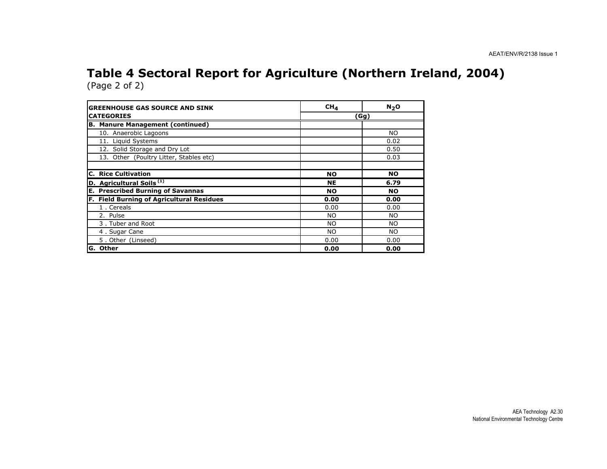#### Table 4 Sectoral Report for Agriculture (Northern Ireland, 2004)(Page 2 of 2)

| <b>GREENHOUSE GAS SOURCE AND SINK</b>       | CH <sub>4</sub> | $N_2$ O   |
|---------------------------------------------|-----------------|-----------|
| <b>CATEGORIES</b>                           | (Gg)            |           |
| <b>B. Manure Management (continued)</b>     |                 |           |
| 10. Anaerobic Lagoons                       |                 | NO.       |
| 11. Liquid Systems                          |                 | 0.02      |
| 12. Solid Storage and Dry Lot               |                 | 0.50      |
| 13. Other (Poultry Litter, Stables etc)     |                 | 0.03      |
|                                             |                 |           |
| <b>C. Rice Cultivation</b>                  | <b>NO</b>       | <b>NO</b> |
| D. Agricultural Soils <sup>(1)</sup>        | NE              | 6.79      |
| <b>Prescribed Burning of Savannas</b><br>Е. | <b>NO</b>       | <b>NO</b> |
| F. Field Burning of Agricultural Residues   | 0.00            | 0.00      |
| 1. Cereals                                  | 0.00            | 0.00      |
| 2. Pulse                                    | <b>NO</b>       | <b>NO</b> |
| 3. Tuber and Root                           | <b>NO</b>       | NO.       |
| 4. Sugar Cane                               | <b>NO</b>       | NO.       |
| 5. Other (Linseed)                          | 0.00            | 0.00      |
| G. Other                                    | 0.00            | 0.00      |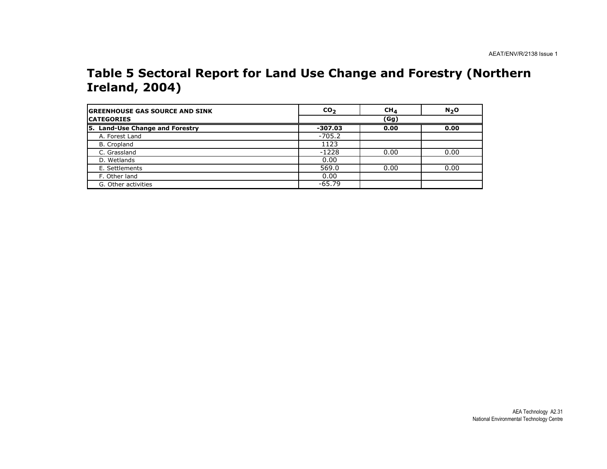#### Table 5 Sectoral Report for Land Use Change and Forestry (Northern Ireland, 2004)

| <b>IGREENHOUSE GAS SOURCE AND SINK</b> | CO <sub>2</sub> | CH <sub>4</sub> | N <sub>2</sub> O |
|----------------------------------------|-----------------|-----------------|------------------|
| <b>ICATEGORIES</b>                     |                 | (Gg)            |                  |
| 5. Land-Use Change and Forestry        | $-307.03$       | 0.00            | 0.00             |
| A. Forest Land                         | $-705.2$        |                 |                  |
| B. Cropland                            | 1123            |                 |                  |
| C. Grassland                           | $-1228$         | 0.00            | 0.00             |
| D. Wetlands                            | 0.00            |                 |                  |
| E. Settlements                         | 569.0           | 0.00            | 0.00             |
| F. Other land                          | 0.00            |                 |                  |
| G. Other activities                    | $-65.79$        |                 |                  |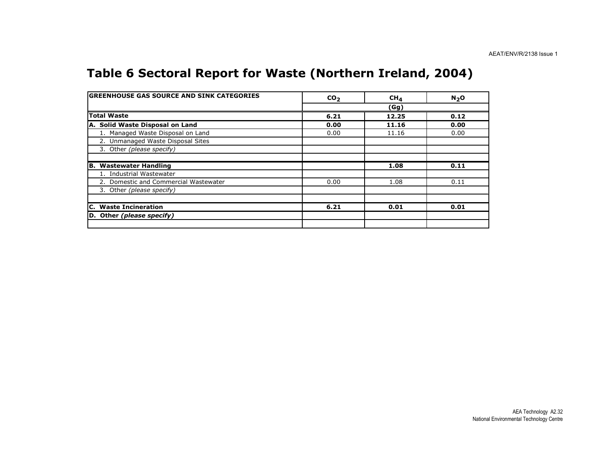## Table 6 Sectoral Report for Waste (Northern Ireland, 2004)

| <b>GREENHOUSE GAS SOURCE AND SINK CATEGORIES</b> | CO <sub>2</sub> | CH <sub>4</sub> | $N_2$ O |
|--------------------------------------------------|-----------------|-----------------|---------|
|                                                  |                 | (Gg)            |         |
| <b>Total Waste</b>                               | 6.21            | 12.25           | 0.12    |
| A. Solid Waste Disposal on Land                  | 0.00            | 11.16           | 0.00    |
| 1. Managed Waste Disposal on Land                | 0.00            | 11.16           | 0.00    |
| 2. Unmanaged Waste Disposal Sites                |                 |                 |         |
| 3. Other (please specify)                        |                 |                 |         |
|                                                  |                 |                 |         |
| B. Wastewater Handling                           |                 | 1.08            | 0.11    |
| 1. Industrial Wastewater                         |                 |                 |         |
| 2. Domestic and Commercial Wastewater            | 0.00            | 1.08            | 0.11    |
| 3. Other (please specify)                        |                 |                 |         |
| <b>C. Waste Incineration</b>                     | 6.21            | 0.01            | 0.01    |
| D. Other (please specify)                        |                 |                 |         |
|                                                  |                 |                 |         |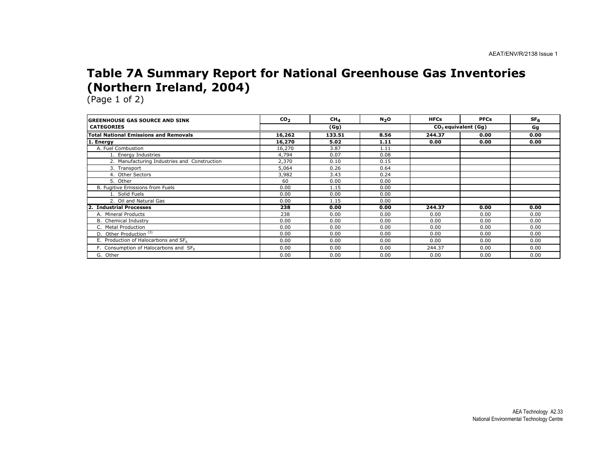### Table 7A Summary Report for National Greenhouse Gas Inventories (Northern Ireland, 2004)

| <b>IGREENHOUSE GAS SOURCE AND SINK</b>       | CO <sub>2</sub> | CH <sub>4</sub> | $N_2$ O | <b>HFCs</b> | <b>PFCs</b>           | SF <sub>6</sub> |
|----------------------------------------------|-----------------|-----------------|---------|-------------|-----------------------|-----------------|
| <b>CATEGORIES</b>                            |                 | (Gg)            |         |             | $CO2$ equivalent (Gg) |                 |
| <b>Total National Emissions and Removals</b> | 16,262          | 133.51          | 8.56    | 244.37      | 0.00                  | 0.00            |
| 1. Energy                                    | 16,270          | 5.02            | 1.11    | 0.00        | 0.00                  | 0.00            |
| A. Fuel Combustion                           | 16,270          | 3.87            | 1.11    |             |                       |                 |
| 1. Energy Industries                         | 4,794           | 0.07            | 0.08    |             |                       |                 |
| 2. Manufacturing Industries and Construction | 2,370           | 0.10            | 0.15    |             |                       |                 |
| 3. Transport                                 | 5,064           | 0.26            | 0.64    |             |                       |                 |
| 4. Other Sectors                             | 3,982           | 3.43            | 0.24    |             |                       |                 |
| 5. Other                                     | 60              | 0.00            | 0.00    |             |                       |                 |
| B. Fugitive Emissions from Fuels             | 0.00            | 1.15            | 0.00    |             |                       |                 |
| 1. Solid Fuels                               | 0.00            | 0.00            | 0.00    |             |                       |                 |
| 2. Oil and Natural Gas                       | 0.00            | 1.15            | 0.00    |             |                       |                 |
| <b>Industrial Processes</b>                  | 238             | 0.00            | 0.00    | 244.37      | 0.00                  | 0.00            |
| A. Mineral Products                          | 238             | 0.00            | 0.00    | 0.00        | 0.00                  | 0.00            |
| B. Chemical Industry                         | 0.00            | 0.00            | 0.00    | 0.00        | 0.00                  | 0.00            |
| C. Metal Production                          | 0.00            | 0.00            | 0.00    | 0.00        | 0.00                  | 0.00            |
| D. Other Production <sup>(3)</sup>           | 0.00            | 0.00            | 0.00    | 0.00        | 0.00                  | 0.00            |
| E. Production of Halocarbons and SF6         | 0.00            | 0.00            | 0.00    | 0.00        | 0.00                  | 0.00            |
| F. Consumption of Halocarbons and SF6        | 0.00            | 0.00            | 0.00    | 244.37      | 0.00                  | 0.00            |
| G. Other                                     | 0.00            | 0.00            | 0.00    | 0.00        | 0.00                  | 0.00            |